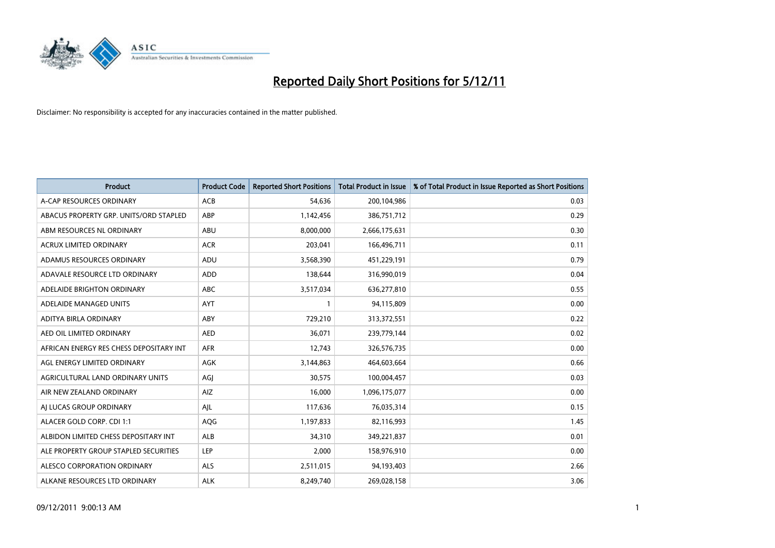

| <b>Product</b>                          | <b>Product Code</b> | <b>Reported Short Positions</b> | <b>Total Product in Issue</b> | % of Total Product in Issue Reported as Short Positions |
|-----------------------------------------|---------------------|---------------------------------|-------------------------------|---------------------------------------------------------|
| A-CAP RESOURCES ORDINARY                | <b>ACB</b>          | 54,636                          | 200,104,986                   | 0.03                                                    |
| ABACUS PROPERTY GRP. UNITS/ORD STAPLED  | ABP                 | 1,142,456                       | 386,751,712                   | 0.29                                                    |
| ABM RESOURCES NL ORDINARY               | ABU                 | 8,000,000                       | 2,666,175,631                 | 0.30                                                    |
| ACRUX LIMITED ORDINARY                  | <b>ACR</b>          | 203,041                         | 166,496,711                   | 0.11                                                    |
| ADAMUS RESOURCES ORDINARY               | ADU                 | 3,568,390                       | 451,229,191                   | 0.79                                                    |
| ADAVALE RESOURCE LTD ORDINARY           | <b>ADD</b>          | 138,644                         | 316,990,019                   | 0.04                                                    |
| ADELAIDE BRIGHTON ORDINARY              | <b>ABC</b>          | 3,517,034                       | 636,277,810                   | 0.55                                                    |
| ADELAIDE MANAGED UNITS                  | <b>AYT</b>          |                                 | 94,115,809                    | 0.00                                                    |
| ADITYA BIRLA ORDINARY                   | ABY                 | 729,210                         | 313,372,551                   | 0.22                                                    |
| AED OIL LIMITED ORDINARY                | <b>AED</b>          | 36,071                          | 239,779,144                   | 0.02                                                    |
| AFRICAN ENERGY RES CHESS DEPOSITARY INT | <b>AFR</b>          | 12,743                          | 326,576,735                   | 0.00                                                    |
| AGL ENERGY LIMITED ORDINARY             | <b>AGK</b>          | 3,144,863                       | 464,603,664                   | 0.66                                                    |
| AGRICULTURAL LAND ORDINARY UNITS        | AGI                 | 30,575                          | 100,004,457                   | 0.03                                                    |
| AIR NEW ZEALAND ORDINARY                | <b>AIZ</b>          | 16,000                          | 1,096,175,077                 | 0.00                                                    |
| AI LUCAS GROUP ORDINARY                 | AJL                 | 117,636                         | 76,035,314                    | 0.15                                                    |
| ALACER GOLD CORP. CDI 1:1               | <b>AQG</b>          | 1,197,833                       | 82,116,993                    | 1.45                                                    |
| ALBIDON LIMITED CHESS DEPOSITARY INT    | <b>ALB</b>          | 34,310                          | 349,221,837                   | 0.01                                                    |
| ALE PROPERTY GROUP STAPLED SECURITIES   | LEP                 | 2,000                           | 158,976,910                   | 0.00                                                    |
| ALESCO CORPORATION ORDINARY             | <b>ALS</b>          | 2,511,015                       | 94,193,403                    | 2.66                                                    |
| ALKANE RESOURCES LTD ORDINARY           | <b>ALK</b>          | 8.249.740                       | 269,028,158                   | 3.06                                                    |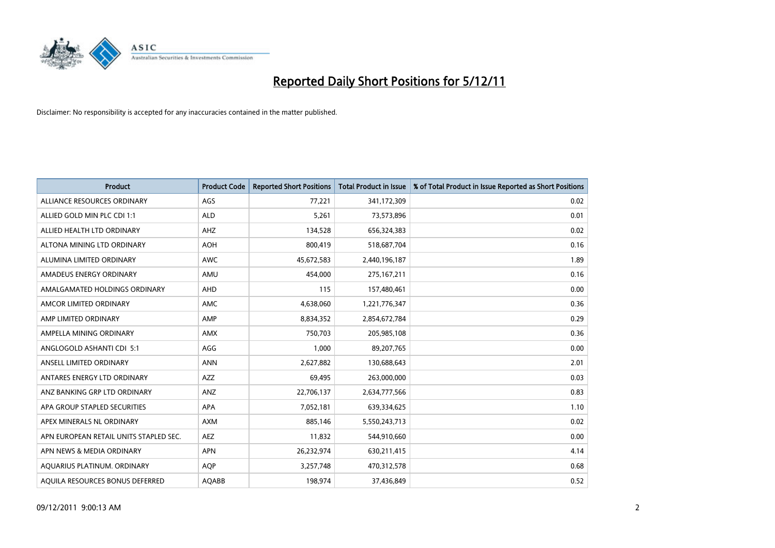

| <b>Product</b>                         | <b>Product Code</b> | <b>Reported Short Positions</b> | <b>Total Product in Issue</b> | % of Total Product in Issue Reported as Short Positions |
|----------------------------------------|---------------------|---------------------------------|-------------------------------|---------------------------------------------------------|
| ALLIANCE RESOURCES ORDINARY            | AGS                 | 77,221                          | 341,172,309                   | 0.02                                                    |
| ALLIED GOLD MIN PLC CDI 1:1            | <b>ALD</b>          | 5,261                           | 73,573,896                    | 0.01                                                    |
| ALLIED HEALTH LTD ORDINARY             | AHZ                 | 134,528                         | 656,324,383                   | 0.02                                                    |
| ALTONA MINING LTD ORDINARY             | <b>AOH</b>          | 800,419                         | 518,687,704                   | 0.16                                                    |
| ALUMINA LIMITED ORDINARY               | <b>AWC</b>          | 45,672,583                      | 2,440,196,187                 | 1.89                                                    |
| AMADEUS ENERGY ORDINARY                | AMU                 | 454,000                         | 275,167,211                   | 0.16                                                    |
| AMALGAMATED HOLDINGS ORDINARY          | <b>AHD</b>          | 115                             | 157,480,461                   | 0.00                                                    |
| AMCOR LIMITED ORDINARY                 | <b>AMC</b>          | 4,638,060                       | 1,221,776,347                 | 0.36                                                    |
| AMP LIMITED ORDINARY                   | AMP                 | 8,834,352                       | 2,854,672,784                 | 0.29                                                    |
| AMPELLA MINING ORDINARY                | AMX                 | 750,703                         | 205,985,108                   | 0.36                                                    |
| ANGLOGOLD ASHANTI CDI 5:1              | AGG                 | 1,000                           | 89,207,765                    | 0.00                                                    |
| ANSELL LIMITED ORDINARY                | <b>ANN</b>          | 2,627,882                       | 130,688,643                   | 2.01                                                    |
| ANTARES ENERGY LTD ORDINARY            | <b>AZZ</b>          | 69,495                          | 263,000,000                   | 0.03                                                    |
| ANZ BANKING GRP LTD ORDINARY           | ANZ                 | 22,706,137                      | 2,634,777,566                 | 0.83                                                    |
| APA GROUP STAPLED SECURITIES           | <b>APA</b>          | 7,052,181                       | 639,334,625                   | 1.10                                                    |
| APEX MINERALS NL ORDINARY              | <b>AXM</b>          | 885,146                         | 5,550,243,713                 | 0.02                                                    |
| APN EUROPEAN RETAIL UNITS STAPLED SEC. | <b>AEZ</b>          | 11,832                          | 544,910,660                   | 0.00                                                    |
| APN NEWS & MEDIA ORDINARY              | <b>APN</b>          | 26,232,974                      | 630,211,415                   | 4.14                                                    |
| AOUARIUS PLATINUM. ORDINARY            | <b>AOP</b>          | 3,257,748                       | 470,312,578                   | 0.68                                                    |
| AQUILA RESOURCES BONUS DEFERRED        | <b>AQABB</b>        | 198.974                         | 37,436,849                    | 0.52                                                    |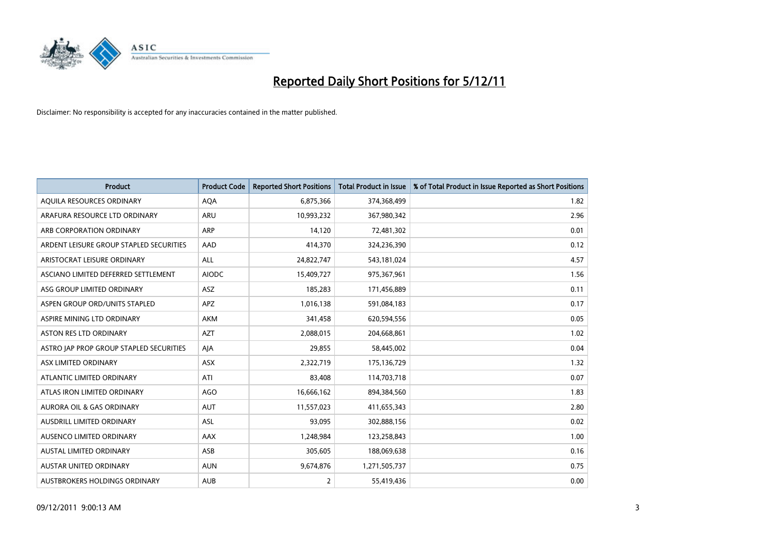

| <b>Product</b>                          | <b>Product Code</b> | <b>Reported Short Positions</b> | <b>Total Product in Issue</b> | % of Total Product in Issue Reported as Short Positions |
|-----------------------------------------|---------------------|---------------------------------|-------------------------------|---------------------------------------------------------|
| AQUILA RESOURCES ORDINARY               | <b>AQA</b>          | 6,875,366                       | 374,368,499                   | 1.82                                                    |
| ARAFURA RESOURCE LTD ORDINARY           | <b>ARU</b>          | 10,993,232                      | 367,980,342                   | 2.96                                                    |
| ARB CORPORATION ORDINARY                | ARP                 | 14,120                          | 72,481,302                    | 0.01                                                    |
| ARDENT LEISURE GROUP STAPLED SECURITIES | AAD                 | 414,370                         | 324,236,390                   | 0.12                                                    |
| ARISTOCRAT LEISURE ORDINARY             | <b>ALL</b>          | 24,822,747                      | 543,181,024                   | 4.57                                                    |
| ASCIANO LIMITED DEFERRED SETTLEMENT     | <b>AIODC</b>        | 15,409,727                      | 975,367,961                   | 1.56                                                    |
| ASG GROUP LIMITED ORDINARY              | <b>ASZ</b>          | 185.283                         | 171,456,889                   | 0.11                                                    |
| ASPEN GROUP ORD/UNITS STAPLED           | <b>APZ</b>          | 1,016,138                       | 591,084,183                   | 0.17                                                    |
| ASPIRE MINING LTD ORDINARY              | <b>AKM</b>          | 341,458                         | 620,594,556                   | 0.05                                                    |
| <b>ASTON RES LTD ORDINARY</b>           | <b>AZT</b>          | 2,088,015                       | 204,668,861                   | 1.02                                                    |
| ASTRO JAP PROP GROUP STAPLED SECURITIES | AJA                 | 29,855                          | 58,445,002                    | 0.04                                                    |
| ASX LIMITED ORDINARY                    | <b>ASX</b>          | 2,322,719                       | 175,136,729                   | 1.32                                                    |
| ATLANTIC LIMITED ORDINARY               | ATI                 | 83,408                          | 114,703,718                   | 0.07                                                    |
| ATLAS IRON LIMITED ORDINARY             | AGO                 | 16,666,162                      | 894,384,560                   | 1.83                                                    |
| <b>AURORA OIL &amp; GAS ORDINARY</b>    | <b>AUT</b>          | 11,557,023                      | 411,655,343                   | 2.80                                                    |
| AUSDRILL LIMITED ORDINARY               | ASL                 | 93,095                          | 302,888,156                   | 0.02                                                    |
| AUSENCO LIMITED ORDINARY                | AAX                 | 1,248,984                       | 123,258,843                   | 1.00                                                    |
| AUSTAL LIMITED ORDINARY                 | <b>ASB</b>          | 305,605                         | 188,069,638                   | 0.16                                                    |
| AUSTAR UNITED ORDINARY                  | <b>AUN</b>          | 9,674,876                       | 1,271,505,737                 | 0.75                                                    |
| AUSTBROKERS HOLDINGS ORDINARY           | <b>AUB</b>          | $\overline{2}$                  | 55,419,436                    | 0.00                                                    |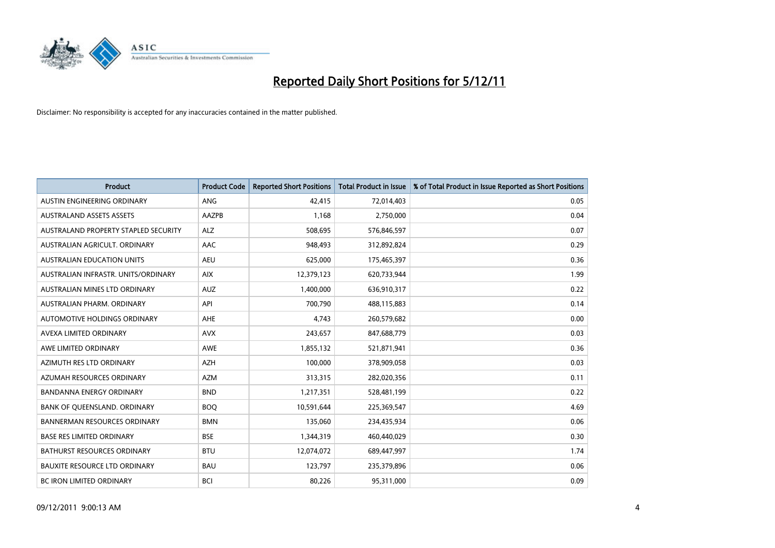

| <b>Product</b>                       | <b>Product Code</b> | <b>Reported Short Positions</b> | <b>Total Product in Issue</b> | % of Total Product in Issue Reported as Short Positions |
|--------------------------------------|---------------------|---------------------------------|-------------------------------|---------------------------------------------------------|
| AUSTIN ENGINEERING ORDINARY          | <b>ANG</b>          | 42.415                          | 72,014,403                    | 0.05                                                    |
| <b>AUSTRALAND ASSETS ASSETS</b>      | AAZPB               | 1,168                           | 2,750,000                     | 0.04                                                    |
| AUSTRALAND PROPERTY STAPLED SECURITY | <b>ALZ</b>          | 508,695                         | 576,846,597                   | 0.07                                                    |
| AUSTRALIAN AGRICULT, ORDINARY        | AAC                 | 948,493                         | 312,892,824                   | 0.29                                                    |
| <b>AUSTRALIAN EDUCATION UNITS</b>    | <b>AEU</b>          | 625,000                         | 175,465,397                   | 0.36                                                    |
| AUSTRALIAN INFRASTR, UNITS/ORDINARY  | <b>AIX</b>          | 12,379,123                      | 620,733,944                   | 1.99                                                    |
| AUSTRALIAN MINES LTD ORDINARY        | <b>AUZ</b>          | 1,400,000                       | 636,910,317                   | 0.22                                                    |
| AUSTRALIAN PHARM, ORDINARY           | API                 | 700,790                         | 488,115,883                   | 0.14                                                    |
| AUTOMOTIVE HOLDINGS ORDINARY         | <b>AHE</b>          | 4,743                           | 260,579,682                   | 0.00                                                    |
| AVEXA LIMITED ORDINARY               | <b>AVX</b>          | 243,657                         | 847,688,779                   | 0.03                                                    |
| AWE LIMITED ORDINARY                 | <b>AWE</b>          | 1,855,132                       | 521,871,941                   | 0.36                                                    |
| AZIMUTH RES LTD ORDINARY             | <b>AZH</b>          | 100,000                         | 378,909,058                   | 0.03                                                    |
| AZUMAH RESOURCES ORDINARY            | <b>AZM</b>          | 313,315                         | 282,020,356                   | 0.11                                                    |
| <b>BANDANNA ENERGY ORDINARY</b>      | <b>BND</b>          | 1,217,351                       | 528,481,199                   | 0.22                                                    |
| BANK OF QUEENSLAND. ORDINARY         | <b>BOQ</b>          | 10,591,644                      | 225,369,547                   | 4.69                                                    |
| <b>BANNERMAN RESOURCES ORDINARY</b>  | <b>BMN</b>          | 135,060                         | 234,435,934                   | 0.06                                                    |
| <b>BASE RES LIMITED ORDINARY</b>     | <b>BSE</b>          | 1,344,319                       | 460,440,029                   | 0.30                                                    |
| BATHURST RESOURCES ORDINARY          | <b>BTU</b>          | 12,074,072                      | 689,447,997                   | 1.74                                                    |
| <b>BAUXITE RESOURCE LTD ORDINARY</b> | <b>BAU</b>          | 123,797                         | 235,379,896                   | 0.06                                                    |
| BC IRON LIMITED ORDINARY             | <b>BCI</b>          | 80,226                          | 95,311,000                    | 0.09                                                    |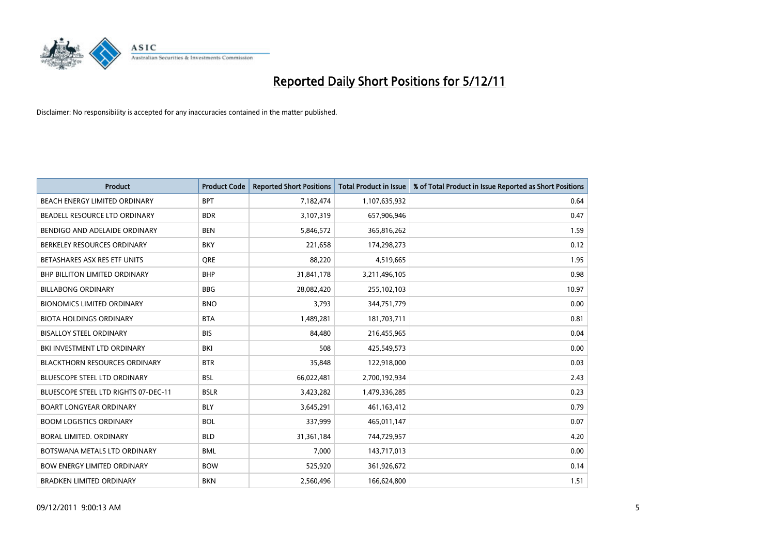

| <b>Product</b>                       | <b>Product Code</b> | <b>Reported Short Positions</b> | <b>Total Product in Issue</b> | % of Total Product in Issue Reported as Short Positions |
|--------------------------------------|---------------------|---------------------------------|-------------------------------|---------------------------------------------------------|
| <b>BEACH ENERGY LIMITED ORDINARY</b> | <b>BPT</b>          | 7,182,474                       | 1,107,635,932                 | 0.64                                                    |
| BEADELL RESOURCE LTD ORDINARY        | <b>BDR</b>          | 3,107,319                       | 657,906,946                   | 0.47                                                    |
| BENDIGO AND ADELAIDE ORDINARY        | <b>BEN</b>          | 5,846,572                       | 365,816,262                   | 1.59                                                    |
| BERKELEY RESOURCES ORDINARY          | <b>BKY</b>          | 221,658                         | 174,298,273                   | 0.12                                                    |
| BETASHARES ASX RES ETF UNITS         | <b>ORE</b>          | 88,220                          | 4,519,665                     | 1.95                                                    |
| <b>BHP BILLITON LIMITED ORDINARY</b> | <b>BHP</b>          | 31,841,178                      | 3,211,496,105                 | 0.98                                                    |
| <b>BILLABONG ORDINARY</b>            | <b>BBG</b>          | 28,082,420                      | 255,102,103                   | 10.97                                                   |
| <b>BIONOMICS LIMITED ORDINARY</b>    | <b>BNO</b>          | 3,793                           | 344,751,779                   | 0.00                                                    |
| <b>BIOTA HOLDINGS ORDINARY</b>       | <b>BTA</b>          | 1,489,281                       | 181,703,711                   | 0.81                                                    |
| <b>BISALLOY STEEL ORDINARY</b>       | <b>BIS</b>          | 84.480                          | 216,455,965                   | 0.04                                                    |
| BKI INVESTMENT LTD ORDINARY          | BKI                 | 508                             | 425,549,573                   | 0.00                                                    |
| <b>BLACKTHORN RESOURCES ORDINARY</b> | <b>BTR</b>          | 35,848                          | 122,918,000                   | 0.03                                                    |
| <b>BLUESCOPE STEEL LTD ORDINARY</b>  | <b>BSL</b>          | 66,022,481                      | 2,700,192,934                 | 2.43                                                    |
| BLUESCOPE STEEL LTD RIGHTS 07-DEC-11 | <b>BSLR</b>         | 3,423,282                       | 1,479,336,285                 | 0.23                                                    |
| <b>BOART LONGYEAR ORDINARY</b>       | <b>BLY</b>          | 3,645,291                       | 461,163,412                   | 0.79                                                    |
| <b>BOOM LOGISTICS ORDINARY</b>       | <b>BOL</b>          | 337,999                         | 465,011,147                   | 0.07                                                    |
| BORAL LIMITED, ORDINARY              | <b>BLD</b>          | 31,361,184                      | 744,729,957                   | 4.20                                                    |
| BOTSWANA METALS LTD ORDINARY         | <b>BML</b>          | 7,000                           | 143,717,013                   | 0.00                                                    |
| <b>BOW ENERGY LIMITED ORDINARY</b>   | <b>BOW</b>          | 525,920                         | 361,926,672                   | 0.14                                                    |
| <b>BRADKEN LIMITED ORDINARY</b>      | <b>BKN</b>          | 2,560,496                       | 166,624,800                   | 1.51                                                    |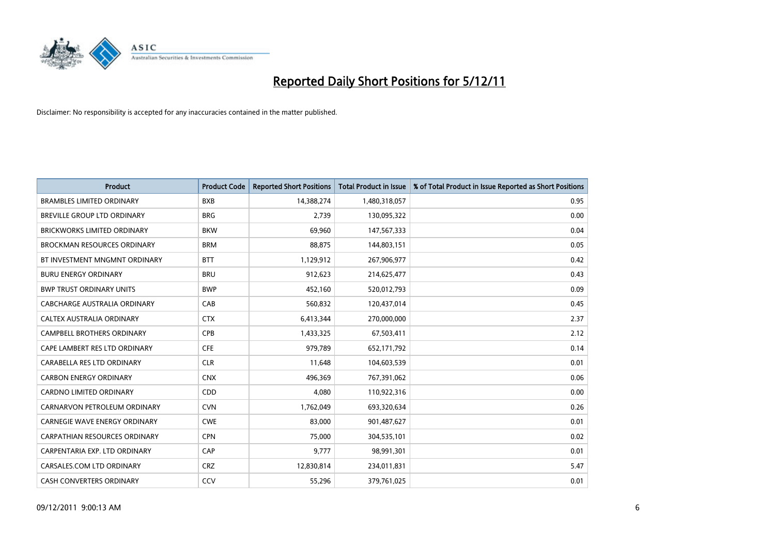

| <b>Product</b>                       | <b>Product Code</b> | <b>Reported Short Positions</b> | <b>Total Product in Issue</b> | % of Total Product in Issue Reported as Short Positions |
|--------------------------------------|---------------------|---------------------------------|-------------------------------|---------------------------------------------------------|
| <b>BRAMBLES LIMITED ORDINARY</b>     | <b>BXB</b>          | 14,388,274                      | 1,480,318,057                 | 0.95                                                    |
| <b>BREVILLE GROUP LTD ORDINARY</b>   | <b>BRG</b>          | 2,739                           | 130,095,322                   | 0.00                                                    |
| <b>BRICKWORKS LIMITED ORDINARY</b>   | <b>BKW</b>          | 69,960                          | 147,567,333                   | 0.04                                                    |
| <b>BROCKMAN RESOURCES ORDINARY</b>   | <b>BRM</b>          | 88,875                          | 144,803,151                   | 0.05                                                    |
| BT INVESTMENT MNGMNT ORDINARY        | <b>BTT</b>          | 1,129,912                       | 267,906,977                   | 0.42                                                    |
| <b>BURU ENERGY ORDINARY</b>          | <b>BRU</b>          | 912,623                         | 214,625,477                   | 0.43                                                    |
| <b>BWP TRUST ORDINARY UNITS</b>      | <b>BWP</b>          | 452.160                         | 520,012,793                   | 0.09                                                    |
| CABCHARGE AUSTRALIA ORDINARY         | CAB                 | 560,832                         | 120,437,014                   | 0.45                                                    |
| CALTEX AUSTRALIA ORDINARY            | <b>CTX</b>          | 6,413,344                       | 270,000,000                   | 2.37                                                    |
| <b>CAMPBELL BROTHERS ORDINARY</b>    | <b>CPB</b>          | 1,433,325                       | 67,503,411                    | 2.12                                                    |
| CAPE LAMBERT RES LTD ORDINARY        | <b>CFE</b>          | 979,789                         | 652,171,792                   | 0.14                                                    |
| CARABELLA RES LTD ORDINARY           | <b>CLR</b>          | 11,648                          | 104,603,539                   | 0.01                                                    |
| <b>CARBON ENERGY ORDINARY</b>        | <b>CNX</b>          | 496,369                         | 767,391,062                   | 0.06                                                    |
| <b>CARDNO LIMITED ORDINARY</b>       | CDD                 | 4.080                           | 110,922,316                   | 0.00                                                    |
| CARNARVON PETROLEUM ORDINARY         | <b>CVN</b>          | 1,762,049                       | 693,320,634                   | 0.26                                                    |
| <b>CARNEGIE WAVE ENERGY ORDINARY</b> | <b>CWE</b>          | 83,000                          | 901,487,627                   | 0.01                                                    |
| <b>CARPATHIAN RESOURCES ORDINARY</b> | <b>CPN</b>          | 75,000                          | 304,535,101                   | 0.02                                                    |
| CARPENTARIA EXP. LTD ORDINARY        | CAP                 | 9,777                           | 98,991,301                    | 0.01                                                    |
| CARSALES.COM LTD ORDINARY            | <b>CRZ</b>          | 12,830,814                      | 234,011,831                   | 5.47                                                    |
| <b>CASH CONVERTERS ORDINARY</b>      | CCV                 | 55,296                          | 379,761,025                   | 0.01                                                    |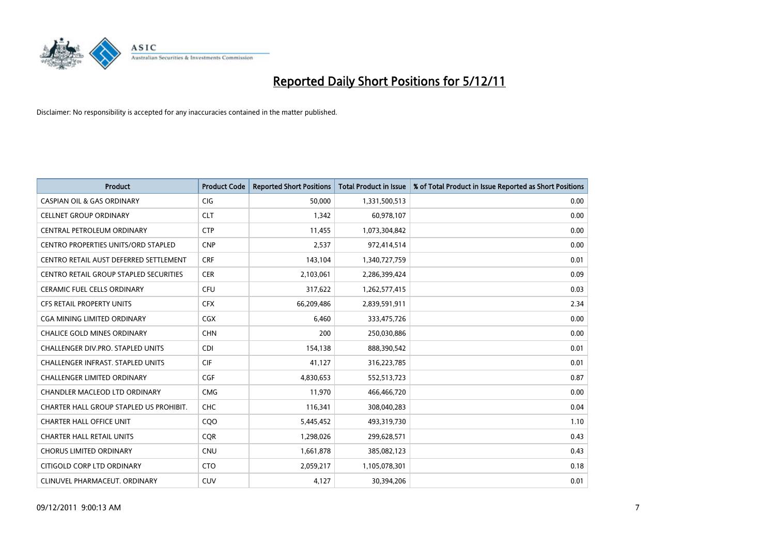

| <b>Product</b>                                | <b>Product Code</b> | <b>Reported Short Positions</b> | <b>Total Product in Issue</b> | % of Total Product in Issue Reported as Short Positions |
|-----------------------------------------------|---------------------|---------------------------------|-------------------------------|---------------------------------------------------------|
| <b>CASPIAN OIL &amp; GAS ORDINARY</b>         | <b>CIG</b>          | 50,000                          | 1,331,500,513                 | 0.00                                                    |
| <b>CELLNET GROUP ORDINARY</b>                 | <b>CLT</b>          | 1,342                           | 60,978,107                    | 0.00                                                    |
| CENTRAL PETROLEUM ORDINARY                    | <b>CTP</b>          | 11,455                          | 1,073,304,842                 | 0.00                                                    |
| CENTRO PROPERTIES UNITS/ORD STAPLED           | <b>CNP</b>          | 2,537                           | 972,414,514                   | 0.00                                                    |
| CENTRO RETAIL AUST DEFERRED SETTLEMENT        | <b>CRF</b>          | 143,104                         | 1,340,727,759                 | 0.01                                                    |
| <b>CENTRO RETAIL GROUP STAPLED SECURITIES</b> | <b>CER</b>          | 2,103,061                       | 2,286,399,424                 | 0.09                                                    |
| <b>CERAMIC FUEL CELLS ORDINARY</b>            | <b>CFU</b>          | 317,622                         | 1,262,577,415                 | 0.03                                                    |
| <b>CFS RETAIL PROPERTY UNITS</b>              | <b>CFX</b>          | 66,209,486                      | 2,839,591,911                 | 2.34                                                    |
| <b>CGA MINING LIMITED ORDINARY</b>            | <b>CGX</b>          | 6,460                           | 333,475,726                   | 0.00                                                    |
| <b>CHALICE GOLD MINES ORDINARY</b>            | <b>CHN</b>          | 200                             | 250,030,886                   | 0.00                                                    |
| CHALLENGER DIV.PRO. STAPLED UNITS             | <b>CDI</b>          | 154,138                         | 888,390,542                   | 0.01                                                    |
| <b>CHALLENGER INFRAST, STAPLED UNITS</b>      | <b>CIF</b>          | 41,127                          | 316,223,785                   | 0.01                                                    |
| <b>CHALLENGER LIMITED ORDINARY</b>            | CGF                 | 4,830,653                       | 552,513,723                   | 0.87                                                    |
| <b>CHANDLER MACLEOD LTD ORDINARY</b>          | <b>CMG</b>          | 11,970                          | 466,466,720                   | 0.00                                                    |
| CHARTER HALL GROUP STAPLED US PROHIBIT.       | <b>CHC</b>          | 116,341                         | 308,040,283                   | 0.04                                                    |
| <b>CHARTER HALL OFFICE UNIT</b>               | COO                 | 5,445,452                       | 493,319,730                   | 1.10                                                    |
| <b>CHARTER HALL RETAIL UNITS</b>              | <b>COR</b>          | 1,298,026                       | 299,628,571                   | 0.43                                                    |
| <b>CHORUS LIMITED ORDINARY</b>                | <b>CNU</b>          | 1,661,878                       | 385,082,123                   | 0.43                                                    |
| CITIGOLD CORP LTD ORDINARY                    | <b>CTO</b>          | 2,059,217                       | 1,105,078,301                 | 0.18                                                    |
| CLINUVEL PHARMACEUT. ORDINARY                 | CUV                 | 4,127                           | 30,394,206                    | 0.01                                                    |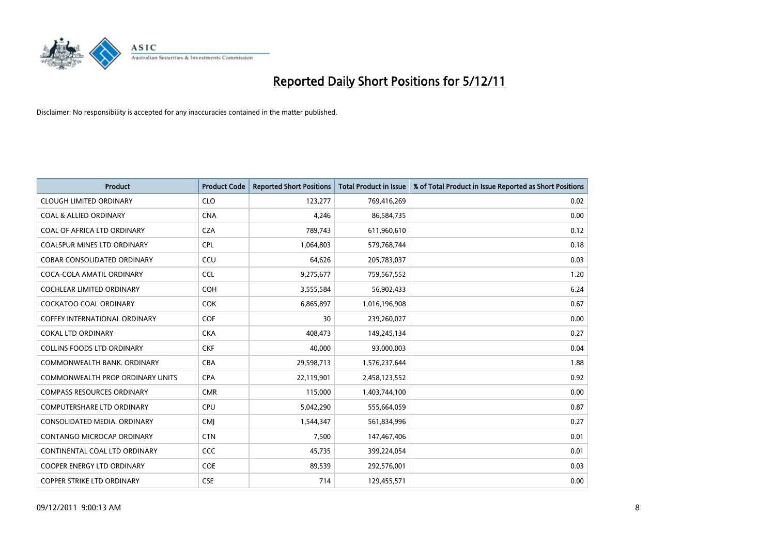

| <b>Product</b>                     | <b>Product Code</b> | <b>Reported Short Positions</b> | <b>Total Product in Issue</b> | % of Total Product in Issue Reported as Short Positions |
|------------------------------------|---------------------|---------------------------------|-------------------------------|---------------------------------------------------------|
| <b>CLOUGH LIMITED ORDINARY</b>     | <b>CLO</b>          | 123,277                         | 769,416,269                   | 0.02                                                    |
| <b>COAL &amp; ALLIED ORDINARY</b>  | <b>CNA</b>          | 4,246                           | 86,584,735                    | 0.00                                                    |
| COAL OF AFRICA LTD ORDINARY        | <b>CZA</b>          | 789,743                         | 611,960,610                   | 0.12                                                    |
| COALSPUR MINES LTD ORDINARY        | <b>CPL</b>          | 1,064,803                       | 579,768,744                   | 0.18                                                    |
| <b>COBAR CONSOLIDATED ORDINARY</b> | CCU                 | 64,626                          | 205,783,037                   | 0.03                                                    |
| COCA-COLA AMATIL ORDINARY          | <b>CCL</b>          | 9,275,677                       | 759,567,552                   | 1.20                                                    |
| <b>COCHLEAR LIMITED ORDINARY</b>   | <b>COH</b>          | 3,555,584                       | 56,902,433                    | 6.24                                                    |
| <b>COCKATOO COAL ORDINARY</b>      | <b>COK</b>          | 6,865,897                       | 1,016,196,908                 | 0.67                                                    |
| COFFEY INTERNATIONAL ORDINARY      | <b>COF</b>          | 30                              | 239,260,027                   | 0.00                                                    |
| <b>COKAL LTD ORDINARY</b>          | <b>CKA</b>          | 408,473                         | 149,245,134                   | 0.27                                                    |
| <b>COLLINS FOODS LTD ORDINARY</b>  | <b>CKF</b>          | 40,000                          | 93,000,003                    | 0.04                                                    |
| COMMONWEALTH BANK, ORDINARY        | <b>CBA</b>          | 29,598,713                      | 1,576,237,644                 | 1.88                                                    |
| COMMONWEALTH PROP ORDINARY UNITS   | <b>CPA</b>          | 22,119,901                      | 2,458,123,552                 | 0.92                                                    |
| <b>COMPASS RESOURCES ORDINARY</b>  | <b>CMR</b>          | 115,000                         | 1,403,744,100                 | 0.00                                                    |
| <b>COMPUTERSHARE LTD ORDINARY</b>  | <b>CPU</b>          | 5,042,290                       | 555,664,059                   | 0.87                                                    |
| CONSOLIDATED MEDIA, ORDINARY       | <b>CMI</b>          | 1,544,347                       | 561,834,996                   | 0.27                                                    |
| <b>CONTANGO MICROCAP ORDINARY</b>  | <b>CTN</b>          | 7,500                           | 147,467,406                   | 0.01                                                    |
| CONTINENTAL COAL LTD ORDINARY      | CCC                 | 45,735                          | 399,224,054                   | 0.01                                                    |
| <b>COOPER ENERGY LTD ORDINARY</b>  | COE                 | 89,539                          | 292,576,001                   | 0.03                                                    |
| <b>COPPER STRIKE LTD ORDINARY</b>  | <b>CSE</b>          | 714                             | 129.455.571                   | 0.00                                                    |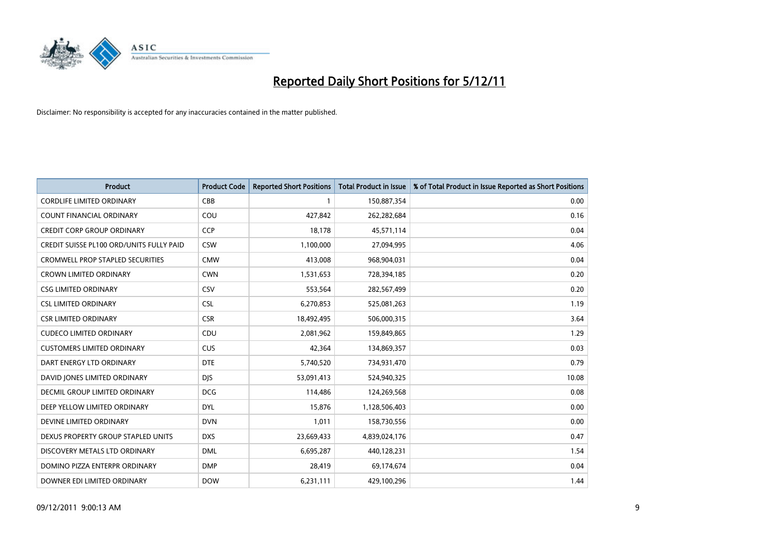

| <b>Product</b>                           | <b>Product Code</b> | <b>Reported Short Positions</b> | <b>Total Product in Issue</b> | % of Total Product in Issue Reported as Short Positions |
|------------------------------------------|---------------------|---------------------------------|-------------------------------|---------------------------------------------------------|
| <b>CORDLIFE LIMITED ORDINARY</b>         | CBB                 |                                 | 150,887,354                   | 0.00                                                    |
| COUNT FINANCIAL ORDINARY                 | COU                 | 427,842                         | 262,282,684                   | 0.16                                                    |
| <b>CREDIT CORP GROUP ORDINARY</b>        | <b>CCP</b>          | 18,178                          | 45,571,114                    | 0.04                                                    |
| CREDIT SUISSE PL100 ORD/UNITS FULLY PAID | <b>CSW</b>          | 1,100,000                       | 27,094,995                    | 4.06                                                    |
| <b>CROMWELL PROP STAPLED SECURITIES</b>  | <b>CMW</b>          | 413,008                         | 968,904,031                   | 0.04                                                    |
| <b>CROWN LIMITED ORDINARY</b>            | <b>CWN</b>          | 1,531,653                       | 728,394,185                   | 0.20                                                    |
| <b>CSG LIMITED ORDINARY</b>              | CSV                 | 553,564                         | 282,567,499                   | 0.20                                                    |
| <b>CSL LIMITED ORDINARY</b>              | <b>CSL</b>          | 6,270,853                       | 525,081,263                   | 1.19                                                    |
| <b>CSR LIMITED ORDINARY</b>              | <b>CSR</b>          | 18,492,495                      | 506,000,315                   | 3.64                                                    |
| <b>CUDECO LIMITED ORDINARY</b>           | CDU                 | 2,081,962                       | 159,849,865                   | 1.29                                                    |
| <b>CUSTOMERS LIMITED ORDINARY</b>        | <b>CUS</b>          | 42,364                          | 134,869,357                   | 0.03                                                    |
| DART ENERGY LTD ORDINARY                 | <b>DTE</b>          | 5,740,520                       | 734,931,470                   | 0.79                                                    |
| DAVID JONES LIMITED ORDINARY             | <b>DJS</b>          | 53,091,413                      | 524,940,325                   | 10.08                                                   |
| <b>DECMIL GROUP LIMITED ORDINARY</b>     | <b>DCG</b>          | 114,486                         | 124,269,568                   | 0.08                                                    |
| DEEP YELLOW LIMITED ORDINARY             | <b>DYL</b>          | 15,876                          | 1,128,506,403                 | 0.00                                                    |
| DEVINE LIMITED ORDINARY                  | <b>DVN</b>          | 1,011                           | 158,730,556                   | 0.00                                                    |
| DEXUS PROPERTY GROUP STAPLED UNITS       | <b>DXS</b>          | 23,669,433                      | 4,839,024,176                 | 0.47                                                    |
| DISCOVERY METALS LTD ORDINARY            | <b>DML</b>          | 6,695,287                       | 440,128,231                   | 1.54                                                    |
| DOMINO PIZZA ENTERPR ORDINARY            | <b>DMP</b>          | 28,419                          | 69,174,674                    | 0.04                                                    |
| DOWNER EDI LIMITED ORDINARY              | <b>DOW</b>          | 6,231,111                       | 429,100,296                   | 1.44                                                    |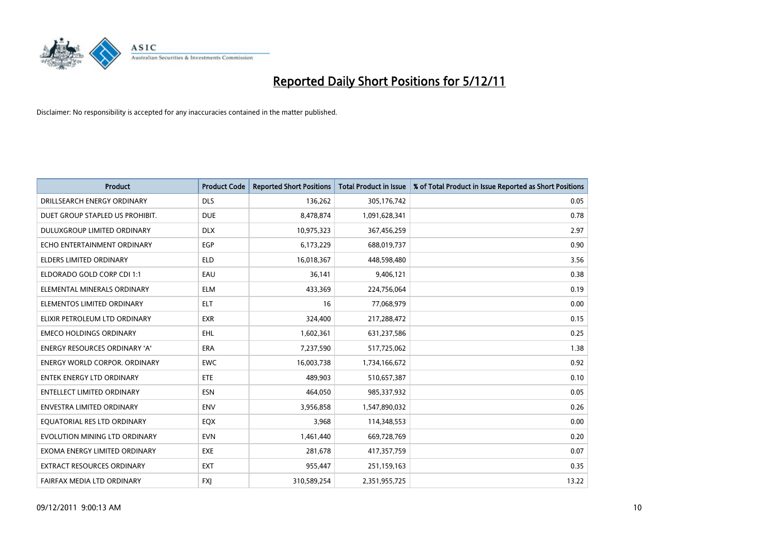

| <b>Product</b>                       | <b>Product Code</b> | <b>Reported Short Positions</b> | <b>Total Product in Issue</b> | % of Total Product in Issue Reported as Short Positions |
|--------------------------------------|---------------------|---------------------------------|-------------------------------|---------------------------------------------------------|
| DRILLSEARCH ENERGY ORDINARY          | <b>DLS</b>          | 136,262                         | 305,176,742                   | 0.05                                                    |
| DUET GROUP STAPLED US PROHIBIT.      | <b>DUE</b>          | 8,478,874                       | 1,091,628,341                 | 0.78                                                    |
| <b>DULUXGROUP LIMITED ORDINARY</b>   | <b>DLX</b>          | 10,975,323                      | 367,456,259                   | 2.97                                                    |
| ECHO ENTERTAINMENT ORDINARY          | <b>EGP</b>          | 6,173,229                       | 688,019,737                   | 0.90                                                    |
| <b>ELDERS LIMITED ORDINARY</b>       | <b>ELD</b>          | 16,018,367                      | 448,598,480                   | 3.56                                                    |
| ELDORADO GOLD CORP CDI 1:1           | EAU                 | 36,141                          | 9,406,121                     | 0.38                                                    |
| ELEMENTAL MINERALS ORDINARY          | <b>ELM</b>          | 433,369                         | 224,756,064                   | 0.19                                                    |
| ELEMENTOS LIMITED ORDINARY           | <b>ELT</b>          | 16                              | 77,068,979                    | 0.00                                                    |
| ELIXIR PETROLEUM LTD ORDINARY        | <b>EXR</b>          | 324,400                         | 217,288,472                   | 0.15                                                    |
| <b>EMECO HOLDINGS ORDINARY</b>       | <b>EHL</b>          | 1,602,361                       | 631,237,586                   | 0.25                                                    |
| ENERGY RESOURCES ORDINARY 'A'        | <b>ERA</b>          | 7,237,590                       | 517,725,062                   | 1.38                                                    |
| <b>ENERGY WORLD CORPOR, ORDINARY</b> | <b>EWC</b>          | 16,003,738                      | 1,734,166,672                 | 0.92                                                    |
| <b>ENTEK ENERGY LTD ORDINARY</b>     | ETE                 | 489,903                         | 510,657,387                   | 0.10                                                    |
| <b>ENTELLECT LIMITED ORDINARY</b>    | <b>ESN</b>          | 464,050                         | 985,337,932                   | 0.05                                                    |
| <b>ENVESTRA LIMITED ORDINARY</b>     | <b>ENV</b>          | 3,956,858                       | 1,547,890,032                 | 0.26                                                    |
| EQUATORIAL RES LTD ORDINARY          | EQX                 | 3,968                           | 114,348,553                   | 0.00                                                    |
| EVOLUTION MINING LTD ORDINARY        | <b>EVN</b>          | 1,461,440                       | 669,728,769                   | 0.20                                                    |
| EXOMA ENERGY LIMITED ORDINARY        | <b>EXE</b>          | 281,678                         | 417,357,759                   | 0.07                                                    |
| <b>EXTRACT RESOURCES ORDINARY</b>    | <b>EXT</b>          | 955,447                         | 251,159,163                   | 0.35                                                    |
| FAIRFAX MEDIA LTD ORDINARY           | <b>FXI</b>          | 310,589,254                     | 2,351,955,725                 | 13.22                                                   |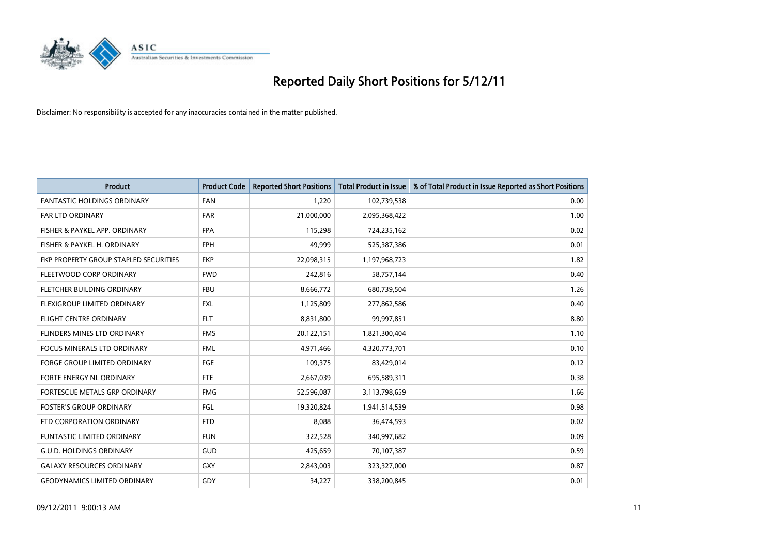

| <b>Product</b>                        | <b>Product Code</b> | <b>Reported Short Positions</b> | <b>Total Product in Issue</b> | % of Total Product in Issue Reported as Short Positions |
|---------------------------------------|---------------------|---------------------------------|-------------------------------|---------------------------------------------------------|
| <b>FANTASTIC HOLDINGS ORDINARY</b>    | <b>FAN</b>          | 1,220                           | 102,739,538                   | 0.00                                                    |
| <b>FAR LTD ORDINARY</b>               | <b>FAR</b>          | 21,000,000                      | 2,095,368,422                 | 1.00                                                    |
| FISHER & PAYKEL APP. ORDINARY         | <b>FPA</b>          | 115,298                         | 724,235,162                   | 0.02                                                    |
| FISHER & PAYKEL H. ORDINARY           | <b>FPH</b>          | 49,999                          | 525,387,386                   | 0.01                                                    |
| FKP PROPERTY GROUP STAPLED SECURITIES | <b>FKP</b>          | 22,098,315                      | 1,197,968,723                 | 1.82                                                    |
| FLEETWOOD CORP ORDINARY               | <b>FWD</b>          | 242,816                         | 58,757,144                    | 0.40                                                    |
| FLETCHER BUILDING ORDINARY            | <b>FBU</b>          | 8,666,772                       | 680,739,504                   | 1.26                                                    |
| FLEXIGROUP LIMITED ORDINARY           | <b>FXL</b>          | 1,125,809                       | 277,862,586                   | 0.40                                                    |
| FLIGHT CENTRE ORDINARY                | <b>FLT</b>          | 8,831,800                       | 99,997,851                    | 8.80                                                    |
| FLINDERS MINES LTD ORDINARY           | <b>FMS</b>          | 20,122,151                      | 1,821,300,404                 | 1.10                                                    |
| <b>FOCUS MINERALS LTD ORDINARY</b>    | <b>FML</b>          | 4,971,466                       | 4,320,773,701                 | 0.10                                                    |
| <b>FORGE GROUP LIMITED ORDINARY</b>   | FGE                 | 109,375                         | 83,429,014                    | 0.12                                                    |
| FORTE ENERGY NL ORDINARY              | <b>FTE</b>          | 2,667,039                       | 695,589,311                   | 0.38                                                    |
| <b>FORTESCUE METALS GRP ORDINARY</b>  | <b>FMG</b>          | 52,596,087                      | 3,113,798,659                 | 1.66                                                    |
| <b>FOSTER'S GROUP ORDINARY</b>        | FGL                 | 19,320,824                      | 1,941,514,539                 | 0.98                                                    |
| FTD CORPORATION ORDINARY              | <b>FTD</b>          | 8,088                           | 36,474,593                    | 0.02                                                    |
| <b>FUNTASTIC LIMITED ORDINARY</b>     | <b>FUN</b>          | 322,528                         | 340,997,682                   | 0.09                                                    |
| <b>G.U.D. HOLDINGS ORDINARY</b>       | GUD                 | 425,659                         | 70,107,387                    | 0.59                                                    |
| <b>GALAXY RESOURCES ORDINARY</b>      | GXY                 | 2,843,003                       | 323,327,000                   | 0.87                                                    |
| <b>GEODYNAMICS LIMITED ORDINARY</b>   | GDY                 | 34,227                          | 338,200,845                   | 0.01                                                    |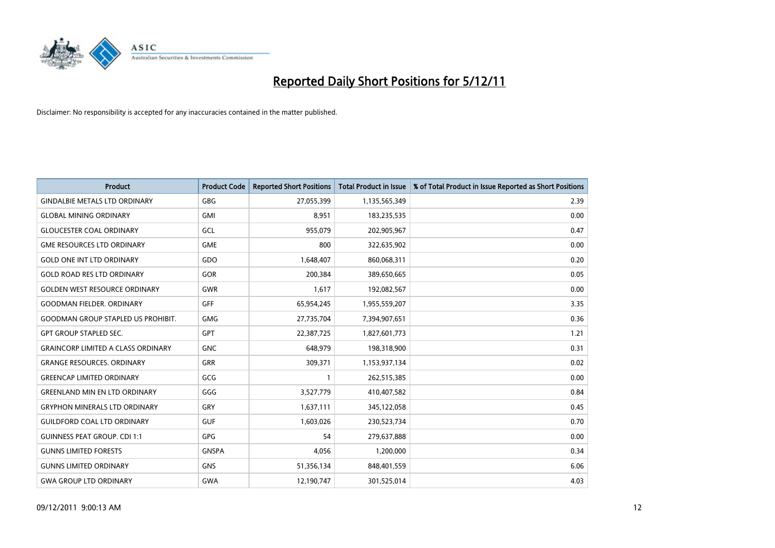

| <b>Product</b>                            | <b>Product Code</b> | <b>Reported Short Positions</b> | <b>Total Product in Issue</b> | % of Total Product in Issue Reported as Short Positions |
|-------------------------------------------|---------------------|---------------------------------|-------------------------------|---------------------------------------------------------|
| <b>GINDALBIE METALS LTD ORDINARY</b>      | <b>GBG</b>          | 27,055,399                      | 1,135,565,349                 | 2.39                                                    |
| <b>GLOBAL MINING ORDINARY</b>             | <b>GMI</b>          | 8,951                           | 183,235,535                   | 0.00                                                    |
| <b>GLOUCESTER COAL ORDINARY</b>           | GCL                 | 955,079                         | 202,905,967                   | 0.47                                                    |
| <b>GME RESOURCES LTD ORDINARY</b>         | <b>GME</b>          | 800                             | 322,635,902                   | 0.00                                                    |
| <b>GOLD ONE INT LTD ORDINARY</b>          | GDO                 | 1,648,407                       | 860,068,311                   | 0.20                                                    |
| <b>GOLD ROAD RES LTD ORDINARY</b>         | GOR                 | 200,384                         | 389,650,665                   | 0.05                                                    |
| <b>GOLDEN WEST RESOURCE ORDINARY</b>      | <b>GWR</b>          | 1,617                           | 192,082,567                   | 0.00                                                    |
| <b>GOODMAN FIELDER. ORDINARY</b>          | <b>GFF</b>          | 65,954,245                      | 1,955,559,207                 | 3.35                                                    |
| <b>GOODMAN GROUP STAPLED US PROHIBIT.</b> | <b>GMG</b>          | 27,735,704                      | 7,394,907,651                 | 0.36                                                    |
| <b>GPT GROUP STAPLED SEC.</b>             | <b>GPT</b>          | 22,387,725                      | 1,827,601,773                 | 1.21                                                    |
| <b>GRAINCORP LIMITED A CLASS ORDINARY</b> | <b>GNC</b>          | 648,979                         | 198,318,900                   | 0.31                                                    |
| <b>GRANGE RESOURCES. ORDINARY</b>         | <b>GRR</b>          | 309,371                         | 1,153,937,134                 | 0.02                                                    |
| <b>GREENCAP LIMITED ORDINARY</b>          | GCG                 | $\mathbf{1}$                    | 262,515,385                   | 0.00                                                    |
| <b>GREENLAND MIN EN LTD ORDINARY</b>      | GGG                 | 3,527,779                       | 410,407,582                   | 0.84                                                    |
| <b>GRYPHON MINERALS LTD ORDINARY</b>      | GRY                 | 1,637,111                       | 345,122,058                   | 0.45                                                    |
| <b>GUILDFORD COAL LTD ORDINARY</b>        | <b>GUF</b>          | 1,603,026                       | 230,523,734                   | 0.70                                                    |
| <b>GUINNESS PEAT GROUP. CDI 1:1</b>       | GPG                 | 54                              | 279,637,888                   | 0.00                                                    |
| <b>GUNNS LIMITED FORESTS</b>              | <b>GNSPA</b>        | 4,056                           | 1,200,000                     | 0.34                                                    |
| <b>GUNNS LIMITED ORDINARY</b>             | <b>GNS</b>          | 51,356,134                      | 848,401,559                   | 6.06                                                    |
| <b>GWA GROUP LTD ORDINARY</b>             | <b>GWA</b>          | 12,190,747                      | 301,525,014                   | 4.03                                                    |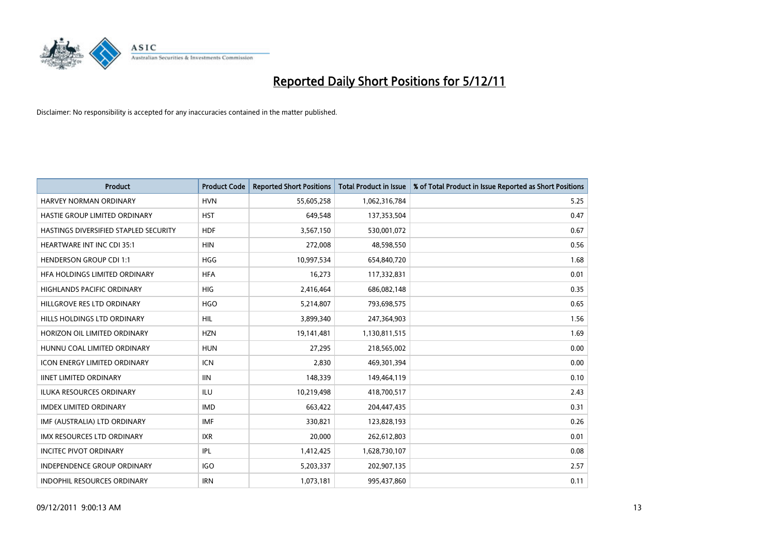

| <b>Product</b>                        | <b>Product Code</b> | <b>Reported Short Positions</b> | <b>Total Product in Issue</b> | % of Total Product in Issue Reported as Short Positions |
|---------------------------------------|---------------------|---------------------------------|-------------------------------|---------------------------------------------------------|
| <b>HARVEY NORMAN ORDINARY</b>         | <b>HVN</b>          | 55,605,258                      | 1,062,316,784                 | 5.25                                                    |
| HASTIE GROUP LIMITED ORDINARY         | <b>HST</b>          | 649,548                         | 137,353,504                   | 0.47                                                    |
| HASTINGS DIVERSIFIED STAPLED SECURITY | <b>HDF</b>          | 3,567,150                       | 530,001,072                   | 0.67                                                    |
| HEARTWARE INT INC CDI 35:1            | <b>HIN</b>          | 272,008                         | 48,598,550                    | 0.56                                                    |
| <b>HENDERSON GROUP CDI 1:1</b>        | <b>HGG</b>          | 10,997,534                      | 654,840,720                   | 1.68                                                    |
| HFA HOLDINGS LIMITED ORDINARY         | <b>HFA</b>          | 16,273                          | 117,332,831                   | 0.01                                                    |
| <b>HIGHLANDS PACIFIC ORDINARY</b>     | <b>HIG</b>          | 2,416,464                       | 686,082,148                   | 0.35                                                    |
| HILLGROVE RES LTD ORDINARY            | <b>HGO</b>          | 5,214,807                       | 793,698,575                   | 0.65                                                    |
| HILLS HOLDINGS LTD ORDINARY           | <b>HIL</b>          | 3,899,340                       | 247,364,903                   | 1.56                                                    |
| HORIZON OIL LIMITED ORDINARY          | <b>HZN</b>          | 19,141,481                      | 1,130,811,515                 | 1.69                                                    |
| HUNNU COAL LIMITED ORDINARY           | <b>HUN</b>          | 27,295                          | 218,565,002                   | 0.00                                                    |
| <b>ICON ENERGY LIMITED ORDINARY</b>   | <b>ICN</b>          | 2,830                           | 469,301,394                   | 0.00                                                    |
| <b>IINET LIMITED ORDINARY</b>         | <b>IIN</b>          | 148,339                         | 149,464,119                   | 0.10                                                    |
| <b>ILUKA RESOURCES ORDINARY</b>       | ILU                 | 10,219,498                      | 418,700,517                   | 2.43                                                    |
| <b>IMDEX LIMITED ORDINARY</b>         | <b>IMD</b>          | 663,422                         | 204,447,435                   | 0.31                                                    |
| IMF (AUSTRALIA) LTD ORDINARY          | <b>IMF</b>          | 330.821                         | 123,828,193                   | 0.26                                                    |
| <b>IMX RESOURCES LTD ORDINARY</b>     | <b>IXR</b>          | 20,000                          | 262,612,803                   | 0.01                                                    |
| <b>INCITEC PIVOT ORDINARY</b>         | IPL                 | 1,412,425                       | 1,628,730,107                 | 0.08                                                    |
| <b>INDEPENDENCE GROUP ORDINARY</b>    | <b>IGO</b>          | 5,203,337                       | 202,907,135                   | 2.57                                                    |
| INDOPHIL RESOURCES ORDINARY           | <b>IRN</b>          | 1,073,181                       | 995,437,860                   | 0.11                                                    |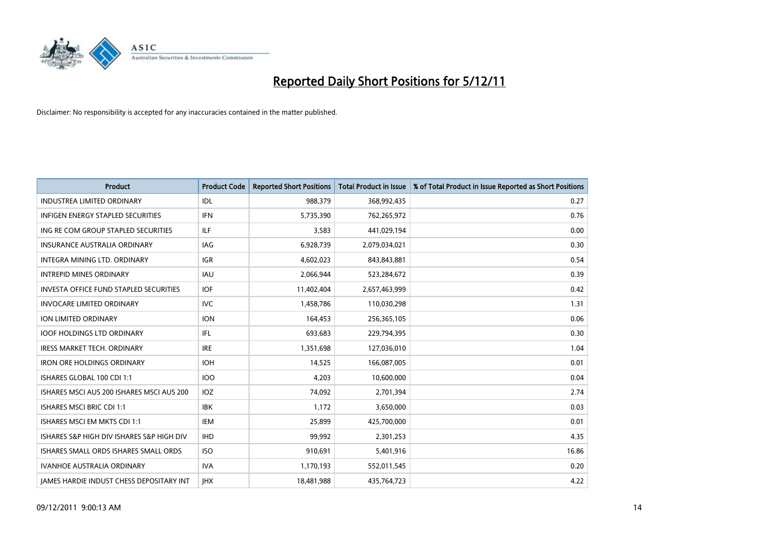

| <b>Product</b>                                  | <b>Product Code</b> | <b>Reported Short Positions</b> | <b>Total Product in Issue</b> | % of Total Product in Issue Reported as Short Positions |
|-------------------------------------------------|---------------------|---------------------------------|-------------------------------|---------------------------------------------------------|
| <b>INDUSTREA LIMITED ORDINARY</b>               | <b>IDL</b>          | 988,379                         | 368,992,435                   | 0.27                                                    |
| INFIGEN ENERGY STAPLED SECURITIES               | <b>IFN</b>          | 5,735,390                       | 762,265,972                   | 0.76                                                    |
| ING RE COM GROUP STAPLED SECURITIES             | <b>ILF</b>          | 3,583                           | 441,029,194                   | 0.00                                                    |
| INSURANCE AUSTRALIA ORDINARY                    | IAG                 | 6,928,739                       | 2,079,034,021                 | 0.30                                                    |
| <b>INTEGRA MINING LTD, ORDINARY</b>             | <b>IGR</b>          | 4,602,023                       | 843,843,881                   | 0.54                                                    |
| <b>INTREPID MINES ORDINARY</b>                  | <b>IAU</b>          | 2,066,944                       | 523,284,672                   | 0.39                                                    |
| <b>INVESTA OFFICE FUND STAPLED SECURITIES</b>   | <b>IOF</b>          | 11,402,404                      | 2,657,463,999                 | 0.42                                                    |
| <b>INVOCARE LIMITED ORDINARY</b>                | <b>IVC</b>          | 1,458,786                       | 110,030,298                   | 1.31                                                    |
| ION LIMITED ORDINARY                            | <b>ION</b>          | 164,453                         | 256,365,105                   | 0.06                                                    |
| <b>IOOF HOLDINGS LTD ORDINARY</b>               | IFL                 | 693,683                         | 229,794,395                   | 0.30                                                    |
| <b>IRESS MARKET TECH. ORDINARY</b>              | <b>IRE</b>          | 1,351,698                       | 127,036,010                   | 1.04                                                    |
| <b>IRON ORE HOLDINGS ORDINARY</b>               | <b>IOH</b>          | 14,525                          | 166,087,005                   | 0.01                                                    |
| ISHARES GLOBAL 100 CDI 1:1                      | 100                 | 4,203                           | 10,600,000                    | 0.04                                                    |
| ISHARES MSCI AUS 200 ISHARES MSCI AUS 200       | <b>IOZ</b>          | 74,092                          | 2,701,394                     | 2.74                                                    |
| <b>ISHARES MSCI BRIC CDI 1:1</b>                | <b>IBK</b>          | 1,172                           | 3,650,000                     | 0.03                                                    |
| ISHARES MSCI EM MKTS CDI 1:1                    | IEM                 | 25,899                          | 425,700,000                   | 0.01                                                    |
| ISHARES S&P HIGH DIV ISHARES S&P HIGH DIV       | <b>IHD</b>          | 99,992                          | 2,301,253                     | 4.35                                                    |
| ISHARES SMALL ORDS ISHARES SMALL ORDS           | <b>ISO</b>          | 910,691                         | 5,401,916                     | 16.86                                                   |
| <b>IVANHOE AUSTRALIA ORDINARY</b>               | <b>IVA</b>          | 1,170,193                       | 552,011,545                   | 0.20                                                    |
| <b>IAMES HARDIE INDUST CHESS DEPOSITARY INT</b> | <b>IHX</b>          | 18,481,988                      | 435,764,723                   | 4.22                                                    |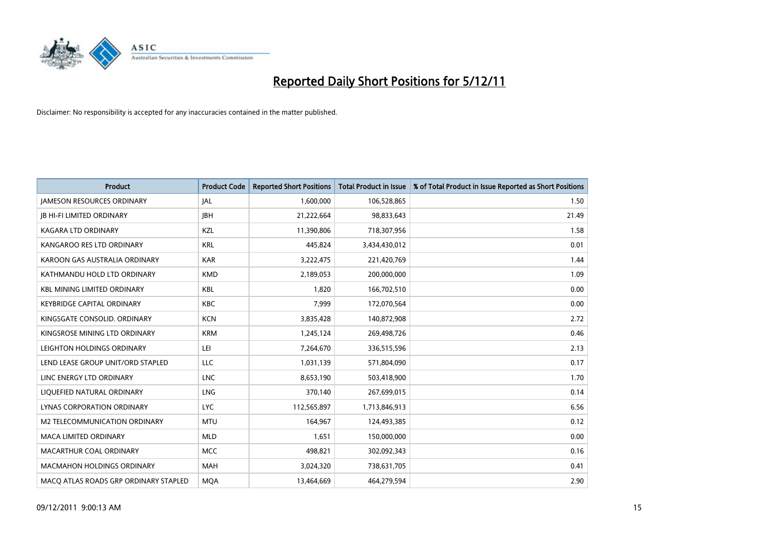

| <b>Product</b>                        | <b>Product Code</b> | <b>Reported Short Positions</b> | <b>Total Product in Issue</b> | % of Total Product in Issue Reported as Short Positions |
|---------------------------------------|---------------------|---------------------------------|-------------------------------|---------------------------------------------------------|
| <b>JAMESON RESOURCES ORDINARY</b>     | <b>JAL</b>          | 1,600,000                       | 106,528,865                   | 1.50                                                    |
| <b>IB HI-FI LIMITED ORDINARY</b>      | <b>IBH</b>          | 21,222,664                      | 98,833,643                    | 21.49                                                   |
| KAGARA LTD ORDINARY                   | KZL                 | 11,390,806                      | 718,307,956                   | 1.58                                                    |
| KANGAROO RES LTD ORDINARY             | <b>KRL</b>          | 445,824                         | 3,434,430,012                 | 0.01                                                    |
| KAROON GAS AUSTRALIA ORDINARY         | <b>KAR</b>          | 3,222,475                       | 221,420,769                   | 1.44                                                    |
| KATHMANDU HOLD LTD ORDINARY           | <b>KMD</b>          | 2,189,053                       | 200,000,000                   | 1.09                                                    |
| <b>KBL MINING LIMITED ORDINARY</b>    | <b>KBL</b>          | 1.820                           | 166,702,510                   | 0.00                                                    |
| KEYBRIDGE CAPITAL ORDINARY            | <b>KBC</b>          | 7,999                           | 172,070,564                   | 0.00                                                    |
| KINGSGATE CONSOLID. ORDINARY          | <b>KCN</b>          | 3,835,428                       | 140,872,908                   | 2.72                                                    |
| KINGSROSE MINING LTD ORDINARY         | <b>KRM</b>          | 1,245,124                       | 269,498,726                   | 0.46                                                    |
| LEIGHTON HOLDINGS ORDINARY            | LEI                 | 7,264,670                       | 336,515,596                   | 2.13                                                    |
| LEND LEASE GROUP UNIT/ORD STAPLED     | <b>LLC</b>          | 1,031,139                       | 571,804,090                   | 0.17                                                    |
| LINC ENERGY LTD ORDINARY              | <b>LNC</b>          | 8,653,190                       | 503,418,900                   | 1.70                                                    |
| LIQUEFIED NATURAL ORDINARY            | <b>LNG</b>          | 370,140                         | 267,699,015                   | 0.14                                                    |
| <b>LYNAS CORPORATION ORDINARY</b>     | <b>LYC</b>          | 112,565,897                     | 1,713,846,913                 | 6.56                                                    |
| M2 TELECOMMUNICATION ORDINARY         | <b>MTU</b>          | 164,967                         | 124,493,385                   | 0.12                                                    |
| <b>MACA LIMITED ORDINARY</b>          | <b>MLD</b>          | 1,651                           | 150,000,000                   | 0.00                                                    |
| MACARTHUR COAL ORDINARY               | <b>MCC</b>          | 498,821                         | 302,092,343                   | 0.16                                                    |
| <b>MACMAHON HOLDINGS ORDINARY</b>     | <b>MAH</b>          | 3,024,320                       | 738,631,705                   | 0.41                                                    |
| MACO ATLAS ROADS GRP ORDINARY STAPLED | <b>MQA</b>          | 13,464,669                      | 464,279,594                   | 2.90                                                    |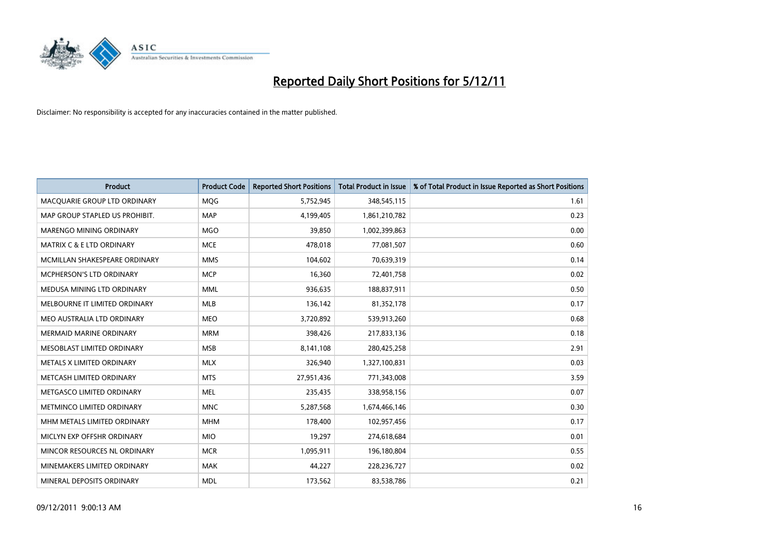

| <b>Product</b>                       | <b>Product Code</b> | <b>Reported Short Positions</b> | <b>Total Product in Issue</b> | % of Total Product in Issue Reported as Short Positions |
|--------------------------------------|---------------------|---------------------------------|-------------------------------|---------------------------------------------------------|
| MACQUARIE GROUP LTD ORDINARY         | <b>MOG</b>          | 5,752,945                       | 348,545,115                   | 1.61                                                    |
| MAP GROUP STAPLED US PROHIBIT.       | <b>MAP</b>          | 4,199,405                       | 1,861,210,782                 | 0.23                                                    |
| MARENGO MINING ORDINARY              | <b>MGO</b>          | 39,850                          | 1,002,399,863                 | 0.00                                                    |
| <b>MATRIX C &amp; E LTD ORDINARY</b> | <b>MCE</b>          | 478,018                         | 77,081,507                    | 0.60                                                    |
| MCMILLAN SHAKESPEARE ORDINARY        | <b>MMS</b>          | 104,602                         | 70,639,319                    | 0.14                                                    |
| <b>MCPHERSON'S LTD ORDINARY</b>      | <b>MCP</b>          | 16,360                          | 72,401,758                    | 0.02                                                    |
| MEDUSA MINING LTD ORDINARY           | <b>MML</b>          | 936,635                         | 188,837,911                   | 0.50                                                    |
| MELBOURNE IT LIMITED ORDINARY        | <b>MLB</b>          | 136,142                         | 81,352,178                    | 0.17                                                    |
| MEO AUSTRALIA LTD ORDINARY           | <b>MEO</b>          | 3,720,892                       | 539,913,260                   | 0.68                                                    |
| <b>MERMAID MARINE ORDINARY</b>       | <b>MRM</b>          | 398,426                         | 217,833,136                   | 0.18                                                    |
| MESOBLAST LIMITED ORDINARY           | <b>MSB</b>          | 8,141,108                       | 280,425,258                   | 2.91                                                    |
| METALS X LIMITED ORDINARY            | <b>MLX</b>          | 326,940                         | 1,327,100,831                 | 0.03                                                    |
| METCASH LIMITED ORDINARY             | <b>MTS</b>          | 27,951,436                      | 771,343,008                   | 3.59                                                    |
| METGASCO LIMITED ORDINARY            | <b>MEL</b>          | 235,435                         | 338,958,156                   | 0.07                                                    |
| METMINCO LIMITED ORDINARY            | <b>MNC</b>          | 5,287,568                       | 1,674,466,146                 | 0.30                                                    |
| MHM METALS LIMITED ORDINARY          | <b>MHM</b>          | 178,400                         | 102,957,456                   | 0.17                                                    |
| MICLYN EXP OFFSHR ORDINARY           | <b>MIO</b>          | 19,297                          | 274,618,684                   | 0.01                                                    |
| MINCOR RESOURCES NL ORDINARY         | <b>MCR</b>          | 1,095,911                       | 196,180,804                   | 0.55                                                    |
| MINEMAKERS LIMITED ORDINARY          | <b>MAK</b>          | 44,227                          | 228,236,727                   | 0.02                                                    |
| MINERAL DEPOSITS ORDINARY            | <b>MDL</b>          | 173,562                         | 83,538,786                    | 0.21                                                    |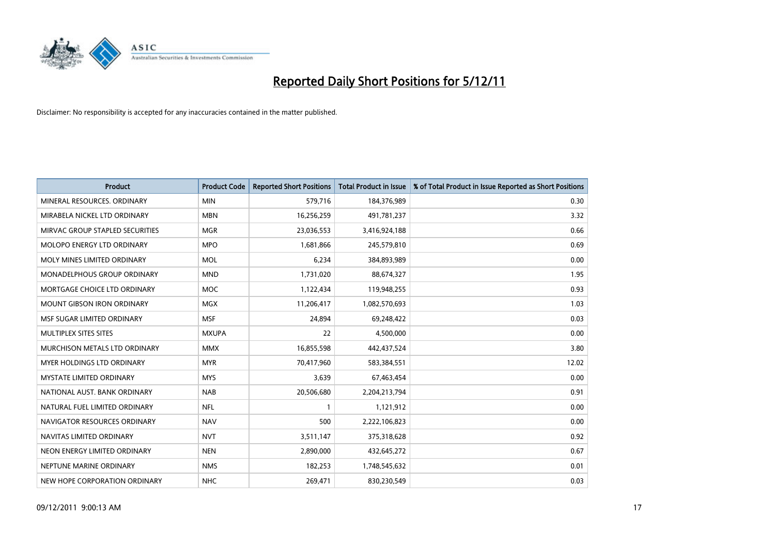

| <b>Product</b>                    | <b>Product Code</b> | <b>Reported Short Positions</b> | <b>Total Product in Issue</b> | % of Total Product in Issue Reported as Short Positions |
|-----------------------------------|---------------------|---------------------------------|-------------------------------|---------------------------------------------------------|
| MINERAL RESOURCES, ORDINARY       | <b>MIN</b>          | 579,716                         | 184,376,989                   | 0.30                                                    |
| MIRABELA NICKEL LTD ORDINARY      | <b>MBN</b>          | 16,256,259                      | 491,781,237                   | 3.32                                                    |
| MIRVAC GROUP STAPLED SECURITIES   | <b>MGR</b>          | 23,036,553                      | 3,416,924,188                 | 0.66                                                    |
| <b>MOLOPO ENERGY LTD ORDINARY</b> | <b>MPO</b>          | 1,681,866                       | 245,579,810                   | 0.69                                                    |
| MOLY MINES LIMITED ORDINARY       | <b>MOL</b>          | 6,234                           | 384,893,989                   | 0.00                                                    |
| MONADELPHOUS GROUP ORDINARY       | <b>MND</b>          | 1,731,020                       | 88,674,327                    | 1.95                                                    |
| MORTGAGE CHOICE LTD ORDINARY      | <b>MOC</b>          | 1,122,434                       | 119,948,255                   | 0.93                                                    |
| <b>MOUNT GIBSON IRON ORDINARY</b> | <b>MGX</b>          | 11,206,417                      | 1,082,570,693                 | 1.03                                                    |
| MSF SUGAR LIMITED ORDINARY        | <b>MSF</b>          | 24,894                          | 69,248,422                    | 0.03                                                    |
| MULTIPLEX SITES SITES             | <b>MXUPA</b>        | 22                              | 4,500,000                     | 0.00                                                    |
| MURCHISON METALS LTD ORDINARY     | <b>MMX</b>          | 16,855,598                      | 442,437,524                   | 3.80                                                    |
| <b>MYER HOLDINGS LTD ORDINARY</b> | <b>MYR</b>          | 70,417,960                      | 583,384,551                   | 12.02                                                   |
| <b>MYSTATE LIMITED ORDINARY</b>   | <b>MYS</b>          | 3,639                           | 67,463,454                    | 0.00                                                    |
| NATIONAL AUST, BANK ORDINARY      | <b>NAB</b>          | 20,506,680                      | 2,204,213,794                 | 0.91                                                    |
| NATURAL FUEL LIMITED ORDINARY     | <b>NFL</b>          | 1                               | 1,121,912                     | 0.00                                                    |
| NAVIGATOR RESOURCES ORDINARY      | <b>NAV</b>          | 500                             | 2,222,106,823                 | 0.00                                                    |
| NAVITAS LIMITED ORDINARY          | <b>NVT</b>          | 3,511,147                       | 375,318,628                   | 0.92                                                    |
| NEON ENERGY LIMITED ORDINARY      | <b>NEN</b>          | 2,890,000                       | 432,645,272                   | 0.67                                                    |
| NEPTUNE MARINE ORDINARY           | <b>NMS</b>          | 182,253                         | 1,748,545,632                 | 0.01                                                    |
| NEW HOPE CORPORATION ORDINARY     | <b>NHC</b>          | 269,471                         | 830,230,549                   | 0.03                                                    |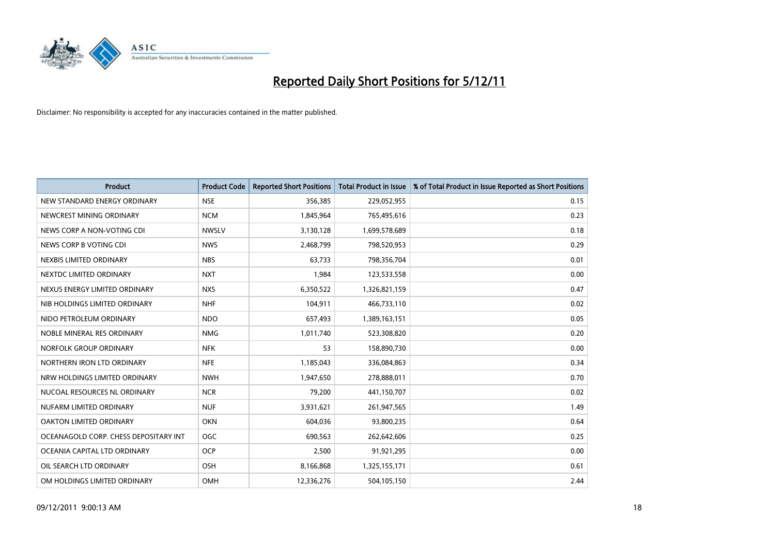

| <b>Product</b>                        | <b>Product Code</b> | <b>Reported Short Positions</b> | <b>Total Product in Issue</b> | % of Total Product in Issue Reported as Short Positions |
|---------------------------------------|---------------------|---------------------------------|-------------------------------|---------------------------------------------------------|
| NEW STANDARD ENERGY ORDINARY          | <b>NSE</b>          | 356,385                         | 229,052,955                   | 0.15                                                    |
| NEWCREST MINING ORDINARY              | <b>NCM</b>          | 1,845,964                       | 765,495,616                   | 0.23                                                    |
| NEWS CORP A NON-VOTING CDI            | <b>NWSLV</b>        | 3,130,128                       | 1,699,578,689                 | 0.18                                                    |
| NEWS CORP B VOTING CDI                | <b>NWS</b>          | 2,468,799                       | 798,520,953                   | 0.29                                                    |
| NEXBIS LIMITED ORDINARY               | <b>NBS</b>          | 63,733                          | 798,356,704                   | 0.01                                                    |
| NEXTDC LIMITED ORDINARY               | <b>NXT</b>          | 1,984                           | 123,533,558                   | 0.00                                                    |
| NEXUS ENERGY LIMITED ORDINARY         | <b>NXS</b>          | 6,350,522                       | 1,326,821,159                 | 0.47                                                    |
| NIB HOLDINGS LIMITED ORDINARY         | <b>NHF</b>          | 104,911                         | 466,733,110                   | 0.02                                                    |
| NIDO PETROLEUM ORDINARY               | <b>NDO</b>          | 657,493                         | 1,389,163,151                 | 0.05                                                    |
| NOBLE MINERAL RES ORDINARY            | <b>NMG</b>          | 1,011,740                       | 523,308,820                   | 0.20                                                    |
| NORFOLK GROUP ORDINARY                | <b>NFK</b>          | 53                              | 158,890,730                   | 0.00                                                    |
| NORTHERN IRON LTD ORDINARY            | <b>NFE</b>          | 1,185,043                       | 336,084,863                   | 0.34                                                    |
| NRW HOLDINGS LIMITED ORDINARY         | <b>NWH</b>          | 1,947,650                       | 278,888,011                   | 0.70                                                    |
| NUCOAL RESOURCES NL ORDINARY          | <b>NCR</b>          | 79,200                          | 441,150,707                   | 0.02                                                    |
| NUFARM LIMITED ORDINARY               | <b>NUF</b>          | 3,931,621                       | 261,947,565                   | 1.49                                                    |
| OAKTON LIMITED ORDINARY               | <b>OKN</b>          | 604,036                         | 93,800,235                    | 0.64                                                    |
| OCEANAGOLD CORP. CHESS DEPOSITARY INT | <b>OGC</b>          | 690,563                         | 262,642,606                   | 0.25                                                    |
| OCEANIA CAPITAL LTD ORDINARY          | <b>OCP</b>          | 2,500                           | 91,921,295                    | 0.00                                                    |
| OIL SEARCH LTD ORDINARY               | <b>OSH</b>          | 8,166,868                       | 1,325,155,171                 | 0.61                                                    |
| OM HOLDINGS LIMITED ORDINARY          | <b>OMH</b>          | 12,336,276                      | 504,105,150                   | 2.44                                                    |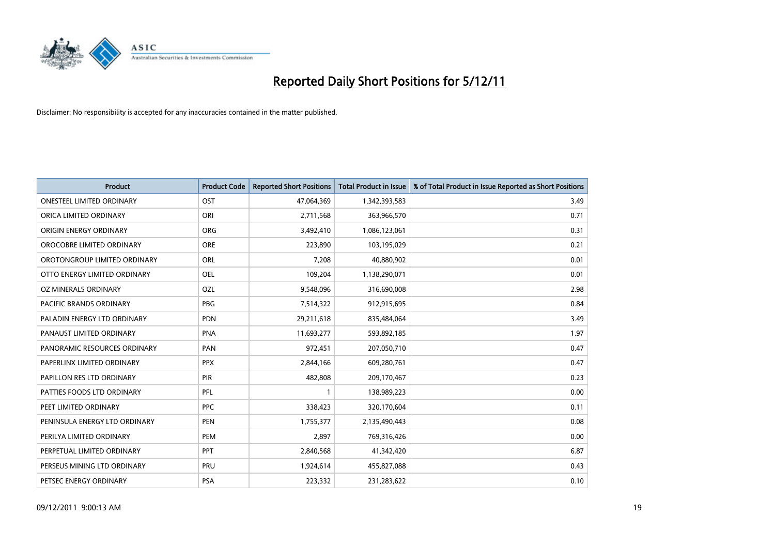

| <b>Product</b>                   | <b>Product Code</b> | <b>Reported Short Positions</b> | <b>Total Product in Issue</b> | % of Total Product in Issue Reported as Short Positions |
|----------------------------------|---------------------|---------------------------------|-------------------------------|---------------------------------------------------------|
| <b>ONESTEEL LIMITED ORDINARY</b> | <b>OST</b>          | 47,064,369                      | 1,342,393,583                 | 3.49                                                    |
| ORICA LIMITED ORDINARY           | ORI                 | 2,711,568                       | 363,966,570                   | 0.71                                                    |
| ORIGIN ENERGY ORDINARY           | <b>ORG</b>          | 3,492,410                       | 1,086,123,061                 | 0.31                                                    |
| OROCOBRE LIMITED ORDINARY        | <b>ORE</b>          | 223,890                         | 103,195,029                   | 0.21                                                    |
| OROTONGROUP LIMITED ORDINARY     | <b>ORL</b>          | 7,208                           | 40,880,902                    | 0.01                                                    |
| OTTO ENERGY LIMITED ORDINARY     | <b>OEL</b>          | 109,204                         | 1,138,290,071                 | 0.01                                                    |
| OZ MINERALS ORDINARY             | OZL                 | 9,548,096                       | 316,690,008                   | 2.98                                                    |
| PACIFIC BRANDS ORDINARY          | <b>PBG</b>          | 7,514,322                       | 912,915,695                   | 0.84                                                    |
| PALADIN ENERGY LTD ORDINARY      | <b>PDN</b>          | 29,211,618                      | 835,484,064                   | 3.49                                                    |
| PANAUST LIMITED ORDINARY         | PNA                 | 11,693,277                      | 593,892,185                   | 1.97                                                    |
| PANORAMIC RESOURCES ORDINARY     | PAN                 | 972,451                         | 207,050,710                   | 0.47                                                    |
| PAPERLINX LIMITED ORDINARY       | <b>PPX</b>          | 2,844,166                       | 609,280,761                   | 0.47                                                    |
| PAPILLON RES LTD ORDINARY        | <b>PIR</b>          | 482,808                         | 209,170,467                   | 0.23                                                    |
| PATTIES FOODS LTD ORDINARY       | PFL                 |                                 | 138,989,223                   | 0.00                                                    |
| PEET LIMITED ORDINARY            | <b>PPC</b>          | 338,423                         | 320,170,604                   | 0.11                                                    |
| PENINSULA ENERGY LTD ORDINARY    | PEN                 | 1,755,377                       | 2,135,490,443                 | 0.08                                                    |
| PERILYA LIMITED ORDINARY         | PEM                 | 2,897                           | 769,316,426                   | 0.00                                                    |
| PERPETUAL LIMITED ORDINARY       | <b>PPT</b>          | 2,840,568                       | 41,342,420                    | 6.87                                                    |
| PERSEUS MINING LTD ORDINARY      | PRU                 | 1,924,614                       | 455,827,088                   | 0.43                                                    |
| PETSEC ENERGY ORDINARY           | <b>PSA</b>          | 223,332                         | 231,283,622                   | 0.10                                                    |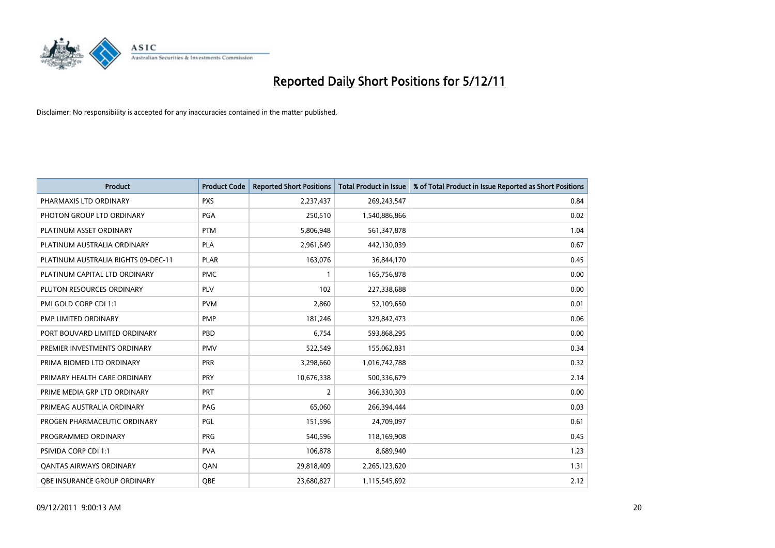

| <b>Product</b>                      | <b>Product Code</b> | <b>Reported Short Positions</b> | <b>Total Product in Issue</b> | % of Total Product in Issue Reported as Short Positions |
|-------------------------------------|---------------------|---------------------------------|-------------------------------|---------------------------------------------------------|
| PHARMAXIS LTD ORDINARY              | <b>PXS</b>          | 2,237,437                       | 269,243,547                   | 0.84                                                    |
| PHOTON GROUP LTD ORDINARY           | <b>PGA</b>          | 250,510                         | 1,540,886,866                 | 0.02                                                    |
| PLATINUM ASSET ORDINARY             | <b>PTM</b>          | 5,806,948                       | 561,347,878                   | 1.04                                                    |
| PLATINUM AUSTRALIA ORDINARY         | <b>PLA</b>          | 2,961,649                       | 442,130,039                   | 0.67                                                    |
| PLATINUM AUSTRALIA RIGHTS 09-DEC-11 | <b>PLAR</b>         | 163,076                         | 36,844,170                    | 0.45                                                    |
| PLATINUM CAPITAL LTD ORDINARY       | <b>PMC</b>          |                                 | 165,756,878                   | 0.00                                                    |
| PLUTON RESOURCES ORDINARY           | <b>PLV</b>          | 102                             | 227,338,688                   | 0.00                                                    |
| PMI GOLD CORP CDI 1:1               | <b>PVM</b>          | 2,860                           | 52,109,650                    | 0.01                                                    |
| PMP LIMITED ORDINARY                | <b>PMP</b>          | 181,246                         | 329,842,473                   | 0.06                                                    |
| PORT BOUVARD LIMITED ORDINARY       | PBD                 | 6,754                           | 593,868,295                   | 0.00                                                    |
| PREMIER INVESTMENTS ORDINARY        | <b>PMV</b>          | 522,549                         | 155,062,831                   | 0.34                                                    |
| PRIMA BIOMED LTD ORDINARY           | PRR                 | 3,298,660                       | 1,016,742,788                 | 0.32                                                    |
| PRIMARY HEALTH CARE ORDINARY        | <b>PRY</b>          | 10,676,338                      | 500,336,679                   | 2.14                                                    |
| PRIME MEDIA GRP LTD ORDINARY        | <b>PRT</b>          | 2                               | 366,330,303                   | 0.00                                                    |
| PRIMEAG AUSTRALIA ORDINARY          | PAG                 | 65,060                          | 266,394,444                   | 0.03                                                    |
| PROGEN PHARMACEUTIC ORDINARY        | <b>PGL</b>          | 151,596                         | 24,709,097                    | 0.61                                                    |
| PROGRAMMED ORDINARY                 | <b>PRG</b>          | 540,596                         | 118,169,908                   | 0.45                                                    |
| PSIVIDA CORP CDI 1:1                | <b>PVA</b>          | 106,878                         | 8,689,940                     | 1.23                                                    |
| <b>QANTAS AIRWAYS ORDINARY</b>      | QAN                 | 29,818,409                      | 2,265,123,620                 | 1.31                                                    |
| <b>OBE INSURANCE GROUP ORDINARY</b> | OBE                 | 23,680,827                      | 1,115,545,692                 | 2.12                                                    |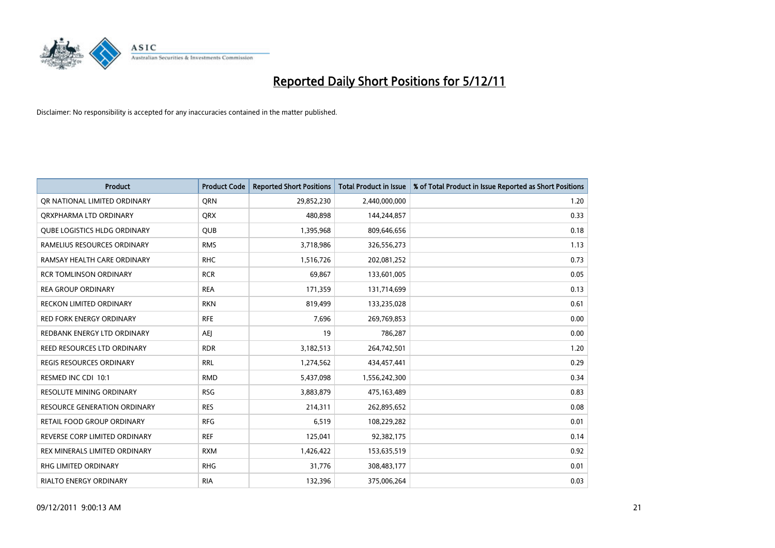

| <b>Product</b>                      | <b>Product Code</b> | <b>Reported Short Positions</b> | <b>Total Product in Issue</b> | % of Total Product in Issue Reported as Short Positions |
|-------------------------------------|---------------------|---------------------------------|-------------------------------|---------------------------------------------------------|
| OR NATIONAL LIMITED ORDINARY        | <b>ORN</b>          | 29,852,230                      | 2,440,000,000                 | 1.20                                                    |
| QRXPHARMA LTD ORDINARY              | <b>QRX</b>          | 480.898                         | 144,244,857                   | 0.33                                                    |
| <b>QUBE LOGISTICS HLDG ORDINARY</b> | QUB                 | 1,395,968                       | 809,646,656                   | 0.18                                                    |
| RAMELIUS RESOURCES ORDINARY         | <b>RMS</b>          | 3,718,986                       | 326,556,273                   | 1.13                                                    |
| RAMSAY HEALTH CARE ORDINARY         | <b>RHC</b>          | 1,516,726                       | 202,081,252                   | 0.73                                                    |
| <b>RCR TOMLINSON ORDINARY</b>       | <b>RCR</b>          | 69,867                          | 133,601,005                   | 0.05                                                    |
| <b>REA GROUP ORDINARY</b>           | <b>REA</b>          | 171,359                         | 131,714,699                   | 0.13                                                    |
| <b>RECKON LIMITED ORDINARY</b>      | <b>RKN</b>          | 819,499                         | 133,235,028                   | 0.61                                                    |
| RED FORK ENERGY ORDINARY            | <b>RFE</b>          | 7,696                           | 269,769,853                   | 0.00                                                    |
| REDBANK ENERGY LTD ORDINARY         | <b>AEI</b>          | 19                              | 786,287                       | 0.00                                                    |
| REED RESOURCES LTD ORDINARY         | <b>RDR</b>          | 3,182,513                       | 264,742,501                   | 1.20                                                    |
| <b>REGIS RESOURCES ORDINARY</b>     | <b>RRL</b>          | 1,274,562                       | 434,457,441                   | 0.29                                                    |
| RESMED INC CDI 10:1                 | <b>RMD</b>          | 5,437,098                       | 1,556,242,300                 | 0.34                                                    |
| <b>RESOLUTE MINING ORDINARY</b>     | <b>RSG</b>          | 3,883,879                       | 475,163,489                   | 0.83                                                    |
| <b>RESOURCE GENERATION ORDINARY</b> | <b>RES</b>          | 214,311                         | 262,895,652                   | 0.08                                                    |
| RETAIL FOOD GROUP ORDINARY          | <b>RFG</b>          | 6,519                           | 108,229,282                   | 0.01                                                    |
| REVERSE CORP LIMITED ORDINARY       | <b>REF</b>          | 125,041                         | 92,382,175                    | 0.14                                                    |
| REX MINERALS LIMITED ORDINARY       | <b>RXM</b>          | 1,426,422                       | 153,635,519                   | 0.92                                                    |
| <b>RHG LIMITED ORDINARY</b>         | <b>RHG</b>          | 31,776                          | 308,483,177                   | 0.01                                                    |
| <b>RIALTO ENERGY ORDINARY</b>       | <b>RIA</b>          | 132,396                         | 375,006,264                   | 0.03                                                    |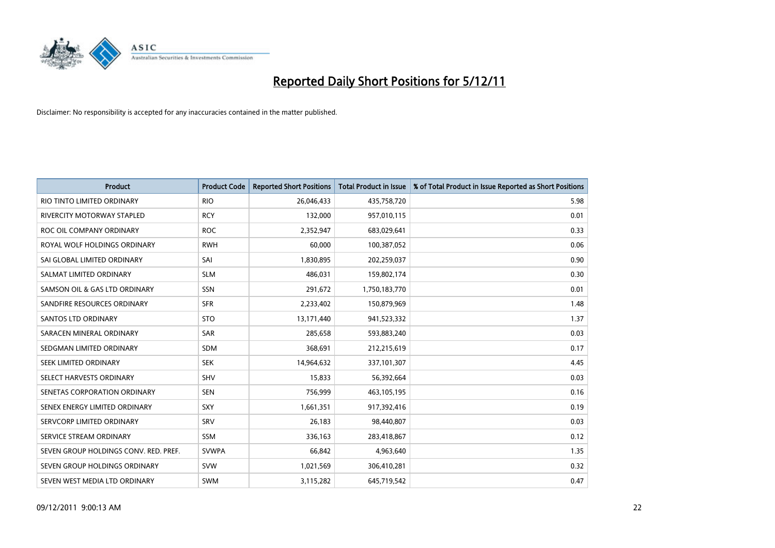

| <b>Product</b>                        | <b>Product Code</b> | <b>Reported Short Positions</b> | <b>Total Product in Issue</b> | % of Total Product in Issue Reported as Short Positions |
|---------------------------------------|---------------------|---------------------------------|-------------------------------|---------------------------------------------------------|
| RIO TINTO LIMITED ORDINARY            | <b>RIO</b>          | 26,046,433                      | 435,758,720                   | 5.98                                                    |
| RIVERCITY MOTORWAY STAPLED            | <b>RCY</b>          | 132,000                         | 957,010,115                   | 0.01                                                    |
| ROC OIL COMPANY ORDINARY              | <b>ROC</b>          | 2,352,947                       | 683,029,641                   | 0.33                                                    |
| ROYAL WOLF HOLDINGS ORDINARY          | <b>RWH</b>          | 60,000                          | 100,387,052                   | 0.06                                                    |
| SAI GLOBAL LIMITED ORDINARY           | SAI                 | 1,830,895                       | 202,259,037                   | 0.90                                                    |
| SALMAT LIMITED ORDINARY               | <b>SLM</b>          | 486,031                         | 159,802,174                   | 0.30                                                    |
| SAMSON OIL & GAS LTD ORDINARY         | <b>SSN</b>          | 291,672                         | 1,750,183,770                 | 0.01                                                    |
| SANDFIRE RESOURCES ORDINARY           | <b>SFR</b>          | 2,233,402                       | 150,879,969                   | 1.48                                                    |
| SANTOS LTD ORDINARY                   | <b>STO</b>          | 13,171,440                      | 941,523,332                   | 1.37                                                    |
| SARACEN MINERAL ORDINARY              | <b>SAR</b>          | 285,658                         | 593,883,240                   | 0.03                                                    |
| SEDGMAN LIMITED ORDINARY              | <b>SDM</b>          | 368,691                         | 212,215,619                   | 0.17                                                    |
| <b>SEEK LIMITED ORDINARY</b>          | <b>SEK</b>          | 14,964,632                      | 337,101,307                   | 4.45                                                    |
| SELECT HARVESTS ORDINARY              | <b>SHV</b>          | 15,833                          | 56,392,664                    | 0.03                                                    |
| SENETAS CORPORATION ORDINARY          | <b>SEN</b>          | 756,999                         | 463,105,195                   | 0.16                                                    |
| SENEX ENERGY LIMITED ORDINARY         | SXY                 | 1,661,351                       | 917,392,416                   | 0.19                                                    |
| SERVCORP LIMITED ORDINARY             | SRV                 | 26,183                          | 98,440,807                    | 0.03                                                    |
| SERVICE STREAM ORDINARY               | <b>SSM</b>          | 336,163                         | 283,418,867                   | 0.12                                                    |
| SEVEN GROUP HOLDINGS CONV. RED. PREF. | <b>SVWPA</b>        | 66,842                          | 4,963,640                     | 1.35                                                    |
| SEVEN GROUP HOLDINGS ORDINARY         | <b>SVW</b>          | 1,021,569                       | 306,410,281                   | 0.32                                                    |
| SEVEN WEST MEDIA LTD ORDINARY         | <b>SWM</b>          | 3,115,282                       | 645,719,542                   | 0.47                                                    |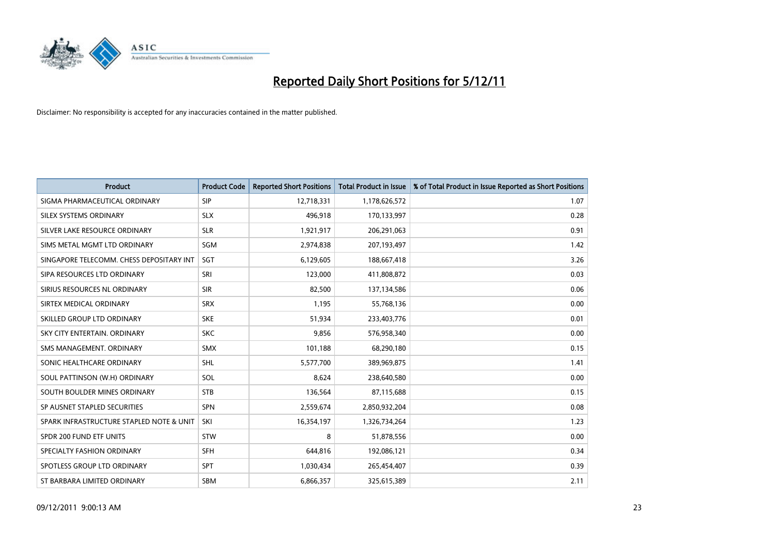

| <b>Product</b>                           | <b>Product Code</b> | <b>Reported Short Positions</b> | <b>Total Product in Issue</b> | % of Total Product in Issue Reported as Short Positions |
|------------------------------------------|---------------------|---------------------------------|-------------------------------|---------------------------------------------------------|
| SIGMA PHARMACEUTICAL ORDINARY            | <b>SIP</b>          | 12,718,331                      | 1,178,626,572                 | 1.07                                                    |
| SILEX SYSTEMS ORDINARY                   | <b>SLX</b>          | 496,918                         | 170,133,997                   | 0.28                                                    |
| SILVER LAKE RESOURCE ORDINARY            | <b>SLR</b>          | 1,921,917                       | 206,291,063                   | 0.91                                                    |
| SIMS METAL MGMT LTD ORDINARY             | SGM                 | 2,974,838                       | 207,193,497                   | 1.42                                                    |
| SINGAPORE TELECOMM. CHESS DEPOSITARY INT | <b>SGT</b>          | 6,129,605                       | 188,667,418                   | 3.26                                                    |
| SIPA RESOURCES LTD ORDINARY              | SRI                 | 123,000                         | 411,808,872                   | 0.03                                                    |
| SIRIUS RESOURCES NL ORDINARY             | <b>SIR</b>          | 82,500                          | 137,134,586                   | 0.06                                                    |
| SIRTEX MEDICAL ORDINARY                  | <b>SRX</b>          | 1,195                           | 55,768,136                    | 0.00                                                    |
| SKILLED GROUP LTD ORDINARY               | <b>SKE</b>          | 51,934                          | 233,403,776                   | 0.01                                                    |
| SKY CITY ENTERTAIN, ORDINARY             | <b>SKC</b>          | 9,856                           | 576,958,340                   | 0.00                                                    |
| SMS MANAGEMENT. ORDINARY                 | <b>SMX</b>          | 101,188                         | 68,290,180                    | 0.15                                                    |
| SONIC HEALTHCARE ORDINARY                | <b>SHL</b>          | 5,577,700                       | 389,969,875                   | 1.41                                                    |
| SOUL PATTINSON (W.H) ORDINARY            | SOL                 | 8,624                           | 238,640,580                   | 0.00                                                    |
| SOUTH BOULDER MINES ORDINARY             | <b>STB</b>          | 136,564                         | 87,115,688                    | 0.15                                                    |
| SP AUSNET STAPLED SECURITIES             | <b>SPN</b>          | 2,559,674                       | 2,850,932,204                 | 0.08                                                    |
| SPARK INFRASTRUCTURE STAPLED NOTE & UNIT | SKI                 | 16,354,197                      | 1,326,734,264                 | 1.23                                                    |
| SPDR 200 FUND ETF UNITS                  | <b>STW</b>          | 8                               | 51,878,556                    | 0.00                                                    |
| SPECIALTY FASHION ORDINARY               | <b>SFH</b>          | 644,816                         | 192,086,121                   | 0.34                                                    |
| SPOTLESS GROUP LTD ORDINARY              | <b>SPT</b>          | 1,030,434                       | 265,454,407                   | 0.39                                                    |
| ST BARBARA LIMITED ORDINARY              | <b>SBM</b>          | 6,866,357                       | 325,615,389                   | 2.11                                                    |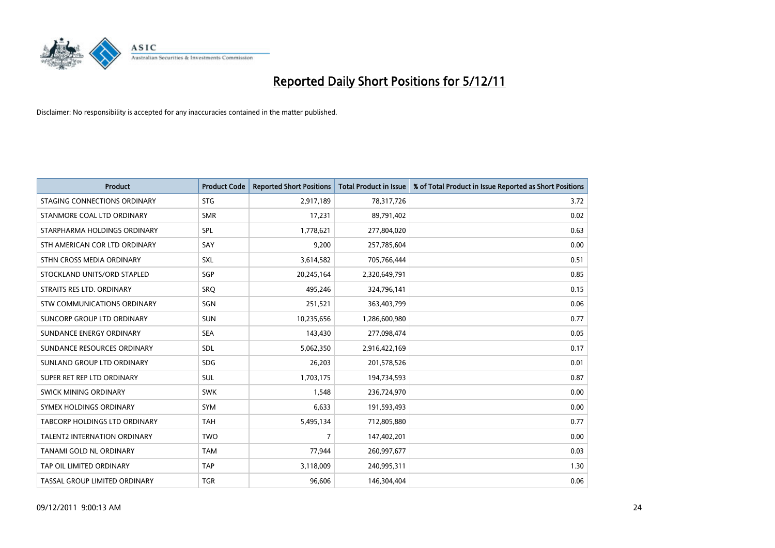

| <b>Product</b>                 | <b>Product Code</b> | <b>Reported Short Positions</b> | <b>Total Product in Issue</b> | % of Total Product in Issue Reported as Short Positions |
|--------------------------------|---------------------|---------------------------------|-------------------------------|---------------------------------------------------------|
| STAGING CONNECTIONS ORDINARY   | <b>STG</b>          | 2,917,189                       | 78,317,726                    | 3.72                                                    |
| STANMORE COAL LTD ORDINARY     | <b>SMR</b>          | 17,231                          | 89,791,402                    | 0.02                                                    |
| STARPHARMA HOLDINGS ORDINARY   | SPL                 | 1,778,621                       | 277,804,020                   | 0.63                                                    |
| STH AMERICAN COR LTD ORDINARY  | SAY                 | 9,200                           | 257,785,604                   | 0.00                                                    |
| STHN CROSS MEDIA ORDINARY      | <b>SXL</b>          | 3,614,582                       | 705,766,444                   | 0.51                                                    |
| STOCKLAND UNITS/ORD STAPLED    | SGP                 | 20,245,164                      | 2,320,649,791                 | 0.85                                                    |
| STRAITS RES LTD. ORDINARY      | <b>SRO</b>          | 495,246                         | 324,796,141                   | 0.15                                                    |
| STW COMMUNICATIONS ORDINARY    | SGN                 | 251,521                         | 363,403,799                   | 0.06                                                    |
| SUNCORP GROUP LTD ORDINARY     | <b>SUN</b>          | 10,235,656                      | 1,286,600,980                 | 0.77                                                    |
| SUNDANCE ENERGY ORDINARY       | <b>SEA</b>          | 143,430                         | 277,098,474                   | 0.05                                                    |
| SUNDANCE RESOURCES ORDINARY    | <b>SDL</b>          | 5,062,350                       | 2,916,422,169                 | 0.17                                                    |
| SUNLAND GROUP LTD ORDINARY     | <b>SDG</b>          | 26,203                          | 201,578,526                   | 0.01                                                    |
| SUPER RET REP LTD ORDINARY     | <b>SUL</b>          | 1,703,175                       | 194,734,593                   | 0.87                                                    |
| SWICK MINING ORDINARY          | <b>SWK</b>          | 1,548                           | 236,724,970                   | 0.00                                                    |
| SYMEX HOLDINGS ORDINARY        | <b>SYM</b>          | 6,633                           | 191,593,493                   | 0.00                                                    |
| TABCORP HOLDINGS LTD ORDINARY  | <b>TAH</b>          | 5,495,134                       | 712,805,880                   | 0.77                                                    |
| TALENT2 INTERNATION ORDINARY   | <b>TWO</b>          | $\overline{7}$                  | 147,402,201                   | 0.00                                                    |
| <b>TANAMI GOLD NL ORDINARY</b> | <b>TAM</b>          | 77,944                          | 260,997,677                   | 0.03                                                    |
| TAP OIL LIMITED ORDINARY       | <b>TAP</b>          | 3,118,009                       | 240,995,311                   | 1.30                                                    |
| TASSAL GROUP LIMITED ORDINARY  | <b>TGR</b>          | 96,606                          | 146,304,404                   | 0.06                                                    |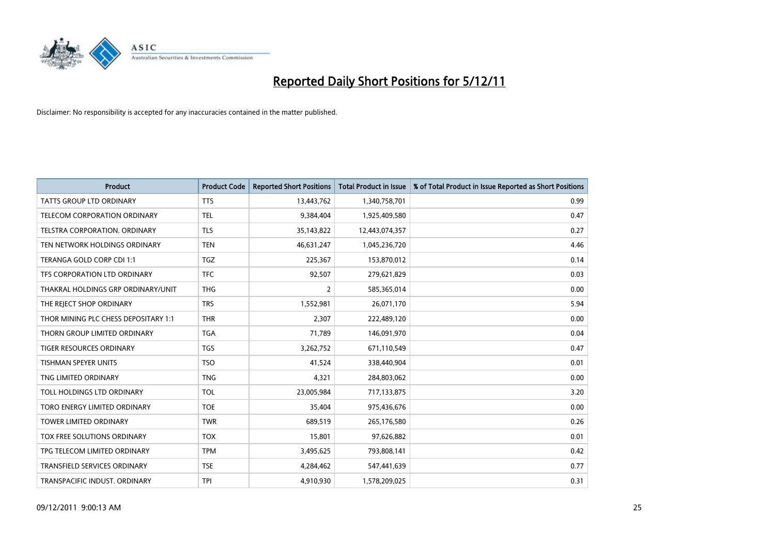

| <b>Product</b>                       | <b>Product Code</b> | <b>Reported Short Positions</b> | <b>Total Product in Issue</b> | % of Total Product in Issue Reported as Short Positions |
|--------------------------------------|---------------------|---------------------------------|-------------------------------|---------------------------------------------------------|
| <b>TATTS GROUP LTD ORDINARY</b>      | <b>TTS</b>          | 13,443,762                      | 1,340,758,701                 | 0.99                                                    |
| <b>TELECOM CORPORATION ORDINARY</b>  | <b>TEL</b>          | 9,384,404                       | 1,925,409,580                 | 0.47                                                    |
| <b>TELSTRA CORPORATION, ORDINARY</b> | <b>TLS</b>          | 35,143,822                      | 12,443,074,357                | 0.27                                                    |
| TEN NETWORK HOLDINGS ORDINARY        | <b>TEN</b>          | 46,631,247                      | 1,045,236,720                 | 4.46                                                    |
| TERANGA GOLD CORP CDI 1:1            | <b>TGZ</b>          | 225,367                         | 153,870,012                   | 0.14                                                    |
| TFS CORPORATION LTD ORDINARY         | <b>TFC</b>          | 92,507                          | 279,621,829                   | 0.03                                                    |
| THAKRAL HOLDINGS GRP ORDINARY/UNIT   | <b>THG</b>          | 2                               | 585,365,014                   | 0.00                                                    |
| THE REJECT SHOP ORDINARY             | <b>TRS</b>          | 1,552,981                       | 26,071,170                    | 5.94                                                    |
| THOR MINING PLC CHESS DEPOSITARY 1:1 | <b>THR</b>          | 2,307                           | 222,489,120                   | 0.00                                                    |
| THORN GROUP LIMITED ORDINARY         | <b>TGA</b>          | 71,789                          | 146,091,970                   | 0.04                                                    |
| <b>TIGER RESOURCES ORDINARY</b>      | <b>TGS</b>          | 3,262,752                       | 671,110,549                   | 0.47                                                    |
| <b>TISHMAN SPEYER UNITS</b>          | <b>TSO</b>          | 41,524                          | 338,440,904                   | 0.01                                                    |
| TNG LIMITED ORDINARY                 | <b>TNG</b>          | 4.321                           | 284,803,062                   | 0.00                                                    |
| TOLL HOLDINGS LTD ORDINARY           | <b>TOL</b>          | 23,005,984                      | 717,133,875                   | 3.20                                                    |
| TORO ENERGY LIMITED ORDINARY         | <b>TOE</b>          | 35,404                          | 975,436,676                   | 0.00                                                    |
| <b>TOWER LIMITED ORDINARY</b>        | <b>TWR</b>          | 689,519                         | 265,176,580                   | 0.26                                                    |
| <b>TOX FREE SOLUTIONS ORDINARY</b>   | <b>TOX</b>          | 15,801                          | 97,626,882                    | 0.01                                                    |
| TPG TELECOM LIMITED ORDINARY         | <b>TPM</b>          | 3,495,625                       | 793,808,141                   | 0.42                                                    |
| <b>TRANSFIELD SERVICES ORDINARY</b>  | <b>TSE</b>          | 4,284,462                       | 547,441,639                   | 0.77                                                    |
| TRANSPACIFIC INDUST, ORDINARY        | <b>TPI</b>          | 4,910,930                       | 1,578,209,025                 | 0.31                                                    |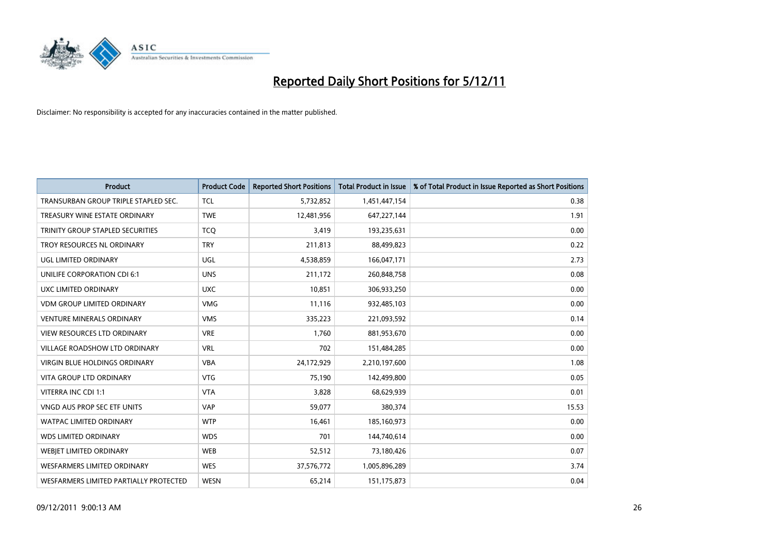

| <b>Product</b>                          | <b>Product Code</b> | <b>Reported Short Positions</b> | <b>Total Product in Issue</b> | % of Total Product in Issue Reported as Short Positions |
|-----------------------------------------|---------------------|---------------------------------|-------------------------------|---------------------------------------------------------|
| TRANSURBAN GROUP TRIPLE STAPLED SEC.    | <b>TCL</b>          | 5,732,852                       | 1,451,447,154                 | 0.38                                                    |
| TREASURY WINE ESTATE ORDINARY           | <b>TWE</b>          | 12,481,956                      | 647,227,144                   | 1.91                                                    |
| <b>TRINITY GROUP STAPLED SECURITIES</b> | <b>TCQ</b>          | 3,419                           | 193,235,631                   | 0.00                                                    |
| TROY RESOURCES NL ORDINARY              | <b>TRY</b>          | 211,813                         | 88,499,823                    | 0.22                                                    |
| <b>UGL LIMITED ORDINARY</b>             | UGL                 | 4,538,859                       | 166,047,171                   | 2.73                                                    |
| UNILIFE CORPORATION CDI 6:1             | <b>UNS</b>          | 211,172                         | 260,848,758                   | 0.08                                                    |
| UXC LIMITED ORDINARY                    | <b>UXC</b>          | 10.851                          | 306,933,250                   | 0.00                                                    |
| <b>VDM GROUP LIMITED ORDINARY</b>       | <b>VMG</b>          | 11,116                          | 932,485,103                   | 0.00                                                    |
| <b>VENTURE MINERALS ORDINARY</b>        | <b>VMS</b>          | 335,223                         | 221,093,592                   | 0.14                                                    |
| <b>VIEW RESOURCES LTD ORDINARY</b>      | <b>VRE</b>          | 1,760                           | 881,953,670                   | 0.00                                                    |
| <b>VILLAGE ROADSHOW LTD ORDINARY</b>    | <b>VRL</b>          | 702                             | 151,484,285                   | 0.00                                                    |
| <b>VIRGIN BLUE HOLDINGS ORDINARY</b>    | <b>VBA</b>          | 24,172,929                      | 2,210,197,600                 | 1.08                                                    |
| <b>VITA GROUP LTD ORDINARY</b>          | <b>VTG</b>          | 75,190                          | 142,499,800                   | 0.05                                                    |
| VITERRA INC CDI 1:1                     | <b>VTA</b>          | 3,828                           | 68,629,939                    | 0.01                                                    |
| VNGD AUS PROP SEC ETF UNITS             | <b>VAP</b>          | 59,077                          | 380,374                       | 15.53                                                   |
| <b>WATPAC LIMITED ORDINARY</b>          | <b>WTP</b>          | 16,461                          | 185,160,973                   | 0.00                                                    |
| <b>WDS LIMITED ORDINARY</b>             | <b>WDS</b>          | 701                             | 144,740,614                   | 0.00                                                    |
| WEBIET LIMITED ORDINARY                 | <b>WEB</b>          | 52,512                          | 73,180,426                    | 0.07                                                    |
| <b>WESFARMERS LIMITED ORDINARY</b>      | <b>WES</b>          | 37,576,772                      | 1,005,896,289                 | 3.74                                                    |
| WESFARMERS LIMITED PARTIALLY PROTECTED  | <b>WESN</b>         | 65,214                          | 151,175,873                   | 0.04                                                    |